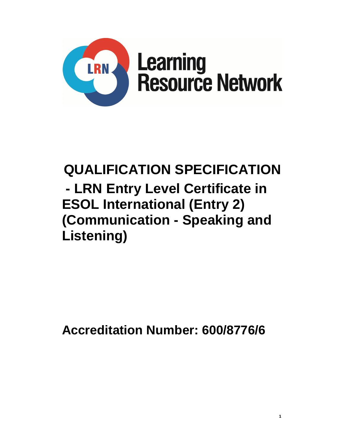

## **QUALIFICATION SPECIFICATION - LRN Entry Level Certificate in ESOL International (Entry 2) (Communication - Speaking and Listening)**

**Accreditation Number: 600/8776/6**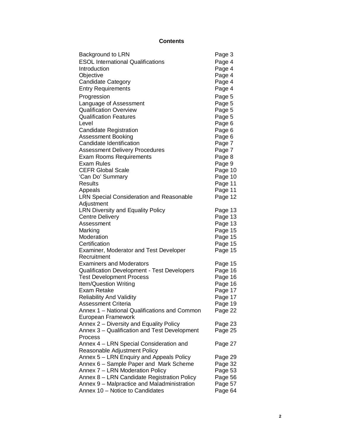#### **Contents**

| Background to LRN                               | Page 3  |
|-------------------------------------------------|---------|
| <b>ESOL International Qualifications</b>        | Page 4  |
| Introduction                                    | Page 4  |
| Objective                                       | Page 4  |
| <b>Candidate Category</b>                       | Page 4  |
| <b>Entry Requirements</b>                       | Page 4  |
| Progression                                     | Page 5  |
| Language of Assessment                          | Page 5  |
| <b>Qualification Overview</b>                   | Page 5  |
| <b>Qualification Features</b>                   | Page 5  |
| Level                                           | Page 6  |
| <b>Candidate Registration</b>                   | Page 6  |
| <b>Assessment Booking</b>                       | Page 6  |
| Candidate Identification                        | Page 7  |
| <b>Assessment Delivery Procedures</b>           | Page 7  |
| <b>Exam Rooms Requirements</b>                  | Page 8  |
| <b>Exam Rules</b>                               | Page 9  |
| <b>CEFR Global Scale</b>                        | Page 10 |
| 'Can Do' Summary                                | Page 10 |
| <b>Results</b>                                  | Page 11 |
| Appeals                                         | Page 11 |
| <b>LRN Special Consideration and Reasonable</b> | Page 12 |
| Adjustment                                      |         |
| <b>LRN Diversity and Equality Policy</b>        | Page 13 |
| <b>Centre Delivery</b>                          | Page 13 |
| Assessment                                      | Page 13 |
| Marking                                         | Page 15 |
| Moderation                                      | Page 15 |
| Certification                                   | Page 15 |
| Examiner, Moderator and Test Developer          | Page 15 |
| Recruitment                                     |         |
| <b>Examiners and Moderators</b>                 | Page 15 |
| Qualification Development - Test Developers     | Page 16 |
| <b>Test Development Process</b>                 | Page 16 |
| <b>Item/Question Writing</b>                    | Page 16 |
| <b>Exam Retake</b>                              | Page 17 |
| <b>Reliability And Validity</b>                 | Page 17 |
| <b>Assessment Criteria</b>                      | Page 19 |
| Annex 1 - National Qualifications and Common    | Page 22 |
| European Framework                              |         |
| Annex 2 - Diversity and Equality Policy         | Page 23 |
| Annex 3 - Qualification and Test Development    | Page 25 |
| Process                                         |         |
| Annex 4 - LRN Special Consideration and         | Page 27 |
| Reasonable Adjustment Policy                    |         |
| Annex 5 - LRN Enquiry and Appeals Policy        | Page 29 |
| Annex 6 - Sample Paper and Mark Scheme          | Page 32 |
| Annex 7 - LRN Moderation Policy                 | Page 53 |
| Annex 8 - LRN Candidate Registration Policy     | Page 56 |
| Annex 9 - Malpractice and Maladministration     | Page 57 |
| Annex 10 - Notice to Candidates                 | Page 64 |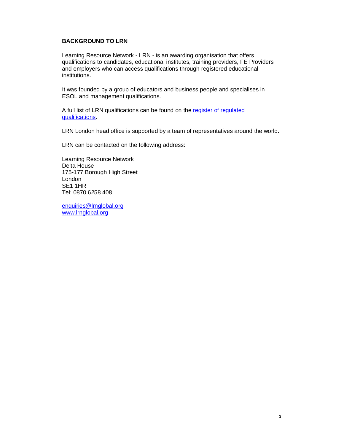#### **BACKGROUND TO LRN**

Learning Resource Network - LRN - is an awarding organisation that offers qualifications to candidates, educational institutes, training providers, FE Providers and employers who can access qualifications through registered educational institutions.

It was founded by a group of educators and business people and specialises in ESOL and management qualifications.

A full list of LRN qualifications can be found on the register of regulated qualifications.

LRN London head office is supported by a team of representatives around the world.

LRN can be contacted on the following address:

Learning Resource Network Delta House 175-177 Borough High Street London SE1 1HR Tel: 0870 6258 408

enquiries@lrnglobal.org www.lrnglobal.org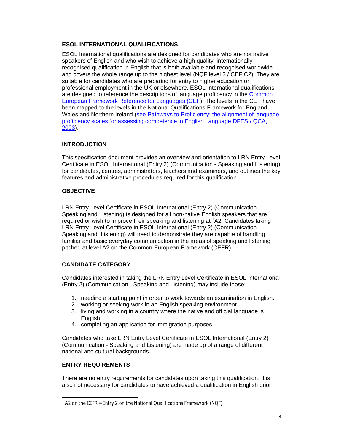#### **ESOL INTERNATIONAL QUALIFICATIONS**

ESOL International qualifications are designed for candidates who are not native speakers of English and who wish to achieve a high quality, internationally recognised qualification in English that is both available and recognised worldwide and covers the whole range up to the highest level (NQF level 3 / CEF C2). They are suitable for candidates who are preparing for entry to higher education or professional employment in the UK or elsewhere. ESOL International qualifications are designed to reference the descriptions of language proficiency in the Common European Framework Reference for Languages (CEF). The levels in the CEF have been mapped to the levels in the National Qualifications Framework for England, Wales and Northern Ireland (see Pathways to Proficiency: the alignment of language proficiency scales for assessing competence in English Language DFES / QCA, 2003).

#### **INTRODUCTION**

This specification document provides an overview and orientation to LRN Entry Level Certificate in ESOL International (Entry 2) (Communication - Speaking and Listening) for candidates, centres, administrators, teachers and examiners, and outlines the key features and administrative procedures required for this qualification.

#### **OBJECTIVE**

LRN Entry Level Certificate in ESOL International (Entry 2) (Communication - Speaking and Listening) is designed for all non-native English speakers that are required or wish to improve their speaking and listening at <sup>1</sup>A2. Candidates taking LRN Entry Level Certificate in ESOL International (Entry 2) (Communication - Speaking and Listening) will need to demonstrate they are capable of handling familiar and basic everyday communication in the areas of speaking and listening pitched at level A2 on the Common European Framework (CEFR).

#### **CANDIDATE CATEGORY**

Candidates interested in taking the LRN Entry Level Certificate in ESOL International (Entry 2) (Communication - Speaking and Listening) may include those:

- 1. needing a starting point in order to work towards an examination in English.
- 2. working or seeking work in an English speaking environment.
- 3. living and working in a country where the native and official language is English.
- 4. completing an application for immigration purposes.

Candidates who take LRN Entry Level Certificate in ESOL International (Entry 2) (Communication - Speaking and Listening) are made up of a range of different national and cultural backgrounds.

#### **ENTRY REQUIREMENTS**

There are no entry requirements for candidates upon taking this qualification. It is also not necessary for candidates to have achieved a qualification in English prior

 $\overline{a}$  $1$  A2 on the CEFR = Entry 2 on the National Qualifications Framework (NQF)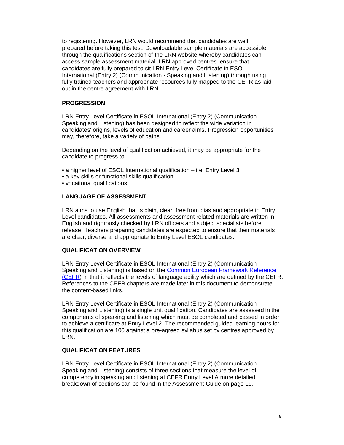to registering. However, LRN would recommend that candidates are well prepared before taking this test. Downloadable sample materials are accessible through the qualifications section of the LRN website whereby candidates can access sample assessment material. LRN approved centres ensure that candidates are fully prepared to sit LRN Entry Level Certificate in ESOL International (Entry 2) (Communication - Speaking and Listening) through using fully trained teachers and appropriate resources fully mapped to the CEFR as laid out in the centre agreement with LRN.

#### **PROGRESSION**

LRN Entry Level Certificate in ESOL International (Entry 2) (Communication - Speaking and Listening) has been designed to reflect the wide variation in candidates' origins, levels of education and career aims. Progression opportunities may, therefore, take a variety of paths.

Depending on the level of qualification achieved, it may be appropriate for the candidate to progress to:

- a higher level of ESOL International qualification i.e. Entry Level 3
- a key skills or functional skills qualification
- vocational qualifications

#### **LANGUAGE OF ASSESSMENT**

LRN aims to use English that is plain, clear, free from bias and appropriate to Entry Level candidates. All assessments and assessment related materials are written in English and rigorously checked by LRN officers and subject specialists before release. Teachers preparing candidates are expected to ensure that their materials are clear, diverse and appropriate to Entry Level ESOL candidates.

#### **QUALIFICATION OVERVIEW**

LRN Entry Level Certificate in ESOL International (Entry 2) (Communication - Speaking and Listening) is based on the Common European Framework Reference (CEFR) in that it reflects the levels of language ability which are defined by the CEFR. References to the CEFR chapters are made later in this document to demonstrate the content-based links.

LRN Entry Level Certificate in ESOL International (Entry 2) (Communication - Speaking and Listening) is a single unit qualification. Candidates are assessed in the components of speaking and listening which must be completed and passed in order to achieve a certificate at Entry Level 2. The recommended guided learning hours for this qualification are 100 against a pre-agreed syllabus set by centres approved by LRN.

#### **QUALIFICATION FEATURES**

LRN Entry Level Certificate in ESOL International (Entry 2) (Communication - Speaking and Listening) consists of three sections that measure the level of competency in speaking and listening at CEFR Entry Level A more detailed breakdown of sections can be found in the Assessment Guide on page 19.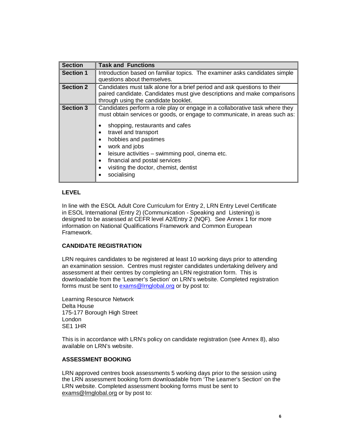| <b>Section</b>   | <b>Task and Functions</b>                                                                                                                                                                                                                                                                                                                                                                                 |
|------------------|-----------------------------------------------------------------------------------------------------------------------------------------------------------------------------------------------------------------------------------------------------------------------------------------------------------------------------------------------------------------------------------------------------------|
| <b>Section 1</b> | Introduction based on familiar topics. The examiner asks candidates simple<br>questions about themselves.                                                                                                                                                                                                                                                                                                 |
| <b>Section 2</b> | Candidates must talk alone for a brief period and ask questions to their<br>paired candidate. Candidates must give descriptions and make comparisons<br>through using the candidate booklet.                                                                                                                                                                                                              |
| <b>Section 3</b> | Candidates perform a role play or engage in a collaborative task where they<br>must obtain services or goods, or engage to communicate, in areas such as:<br>shopping, restaurants and cafes<br>travel and transport<br>hobbies and pastimes<br>work and jobs<br>leisure activities – swimming pool, cinema etc.<br>financial and postal services<br>visiting the doctor, chemist, dentist<br>socialising |

#### **LEVEL**

In line with the ESOL Adult Core Curriculum for Entry 2, LRN Entry Level Certificate in ESOL International (Entry 2) (Communication - Speaking and Listening) is designed to be assessed at CEFR level A2/Entry 2 (NQF). See Annex 1 for more information on National Qualifications Framework and Common European Framework.

#### **CANDIDATE REGISTRATION**

LRN requires candidates to be registered at least 10 working days prior to attending an examination session. Centres must register candidates undertaking delivery and assessment at their centres by completing an LRN registration form. This is downloadable from the 'Learner's Section' on LRN's website. Completed registration forms must be sent to exams@lrnglobal.org or by post to:

Learning Resource Network Delta House 175-177 Borough High Street London SE1 1HR

This is in accordance with LRN's policy on candidate registration (see Annex 8), also available on LRN's website.

#### **ASSESSMENT BOOKING**

LRN approved centres book assessments 5 working days prior to the session using the LRN assessment booking form downloadable from 'The Learner's Section' on the LRN website. Completed assessment booking forms must be sent to exams@lrnglobal.org or by post to: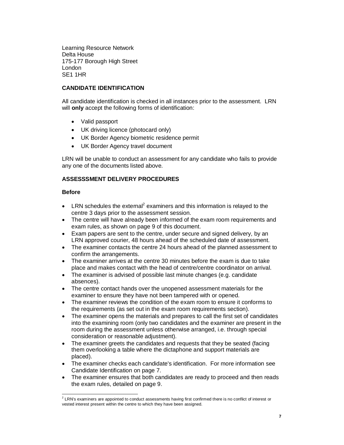Learning Resource Network Delta House 175-177 Borough High Street London SE1 1HR

#### **CANDIDATE IDENTIFICATION**

All candidate identification is checked in all instances prior to the assessment. LRN will **only** accept the following forms of identification:

- Valid passport
- UK driving licence (photocard only)
- UK Border Agency biometric residence permit
- UK Border Agency travel document

LRN will be unable to conduct an assessment for any candidate who fails to provide any one of the documents listed above.

#### **ASSESSSMENT DELIVERY PROCEDURES**

#### **Before**

- **•** LRN schedules the external<sup>2</sup> examiners and this information is relayed to the centre 3 days prior to the assessment session.
- The centre will have already been informed of the exam room requirements and exam rules, as shown on page 9 of this document.
- Exam papers are sent to the centre, under secure and signed delivery, by an LRN approved courier, 48 hours ahead of the scheduled date of assessment.
- The examiner contacts the centre 24 hours ahead of the planned assessment to confirm the arrangements.
- The examiner arrives at the centre 30 minutes before the exam is due to take place and makes contact with the head of centre/centre coordinator on arrival.
- The examiner is advised of possible last minute changes (e.g. candidate absences).
- The centre contact hands over the unopened assessment materials for the examiner to ensure they have not been tampered with or opened.
- The examiner reviews the condition of the exam room to ensure it conforms to the requirements (as set out in the exam room requirements section).
- The examiner opens the materials and prepares to call the first set of candidates into the examining room (only two candidates and the examiner are present in the room during the assessment unless otherwise arranged, i.e. through special consideration or reasonable adjustment).
- The examiner greets the candidates and requests that they be seated (facing them overlooking a table where the dictaphone and support materials are placed).
- The examiner checks each candidate's identification. For more information see Candidate Identification on page 7.
- The examiner ensures that both candidates are ready to proceed and then reads the exam rules, detailed on page 9.

 2 LRN's examiners are appointed to conduct assessments having first confirmed there is no conflict of interest or vested interest present within the centre to which they have been assigned.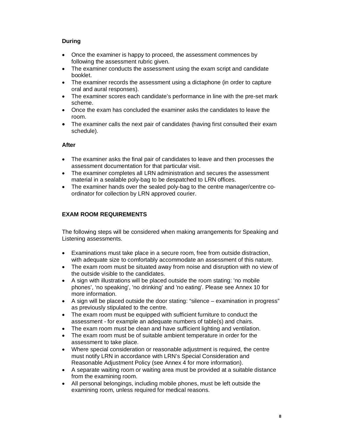#### **During**

- Once the examiner is happy to proceed, the assessment commences by following the assessment rubric given.
- The examiner conducts the assessment using the exam script and candidate booklet.
- The examiner records the assessment using a dictaphone (in order to capture oral and aural responses).
- The examiner scores each candidate's performance in line with the pre-set mark scheme.
- Once the exam has concluded the examiner asks the candidates to leave the room.
- The examiner calls the next pair of candidates (having first consulted their exam schedule).

#### **After**

- The examiner asks the final pair of candidates to leave and then processes the assessment documentation for that particular visit.
- The examiner completes all LRN administration and secures the assessment material in a sealable poly-bag to be despatched to LRN offices.
- The examiner hands over the sealed poly-bag to the centre manager/centre coordinator for collection by LRN approved courier.

#### **EXAM ROOM REQUIREMENTS**

The following steps will be considered when making arrangements for Speaking and Listening assessments.

- Examinations must take place in a secure room, free from outside distraction, with adequate size to comfortably accommodate an assessment of this nature.
- The exam room must be situated away from noise and disruption with no view of the outside visible to the candidates.
- A sign with illustrations will be placed outside the room stating: 'no mobile phones', 'no speaking', 'no drinking' and 'no eating'. Please see Annex 10 for more information.
- A sign will be placed outside the door stating: "silence examination in progress" as previously stipulated to the centre.
- The exam room must be equipped with sufficient furniture to conduct the assessment - for example an adequate numbers of table(s) and chairs.
- The exam room must be clean and have sufficient lighting and ventilation.
- The exam room must be of suitable ambient temperature in order for the assessment to take place.
- Where special consideration or reasonable adjustment is required, the centre must notify LRN in accordance with LRN's Special Consideration and Reasonable Adjustment Policy (see Annex 4 for more information).
- A separate waiting room or waiting area must be provided at a suitable distance from the examining room.
- All personal belongings, including mobile phones, must be left outside the examining room, unless required for medical reasons.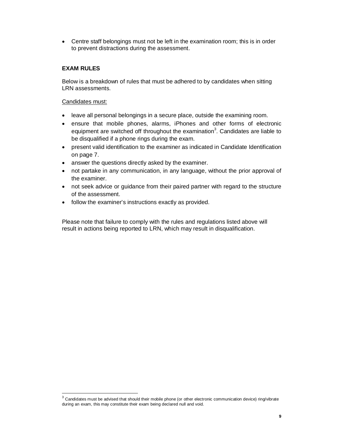Centre staff belongings must not be left in the examination room; this is in order to prevent distractions during the assessment.

#### **EXAM RULES**

Below is a breakdown of rules that must be adhered to by candidates when sitting LRN assessments.

#### Candidates must:

- leave all personal belongings in a secure place, outside the examining room.
- ensure that mobile phones, alarms, iPhones and other forms of electronic equipment are switched off throughout the examination<sup>3</sup>. Candidates are liable to be disqualified if a phone rings during the exam.
- present valid identification to the examiner as indicated in Candidate Identification on page 7.
- answer the questions directly asked by the examiner.
- not partake in any communication, in any language, without the prior approval of the examiner.
- not seek advice or guidance from their paired partner with regard to the structure of the assessment.
- follow the examiner's instructions exactly as provided.

Please note that failure to comply with the rules and regulations listed above will result in actions being reported to LRN, which may result in disqualification.

 3 Candidates must be advised that should their mobile phone (or other electronic communication device) ring/vibrate during an exam, this may constitute their exam being declared null and void.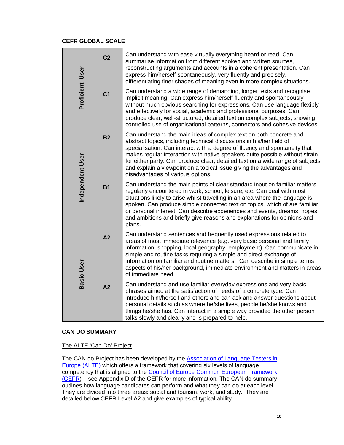#### **CEFR GLOBAL SCALE**

|                  | C <sub>2</sub> | Can understand with ease virtually everything heard or read. Can<br>summarise information from different spoken and written sources,<br>reconstructing arguments and accounts in a coherent presentation. Can<br>express him/herself spontaneously, very fluently and precisely,<br>differentiating finer shades of meaning even in more complex situations.                                                                                                                                            |
|------------------|----------------|---------------------------------------------------------------------------------------------------------------------------------------------------------------------------------------------------------------------------------------------------------------------------------------------------------------------------------------------------------------------------------------------------------------------------------------------------------------------------------------------------------|
| Proficient User  | C <sub>1</sub> | Can understand a wide range of demanding, longer texts and recognise<br>implicit meaning. Can express him/herself fluently and spontaneously<br>without much obvious searching for expressions. Can use language flexibly<br>and effectively for social, academic and professional purposes. Can<br>produce clear, well-structured, detailed text on complex subjects, showing<br>controlled use of organisational patterns, connectors and cohesive devices.                                           |
| Independent User | <b>B2</b>      | Can understand the main ideas of complex text on both concrete and<br>abstract topics, including technical discussions in his/her field of<br>specialisation. Can interact with a degree of fluency and spontaneity that<br>makes regular interaction with native speakers quite possible without strain<br>for either party. Can produce clear, detailed text on a wide range of subjects<br>and explain a viewpoint on a topical issue giving the advantages and<br>disadvantages of various options. |
|                  | <b>B1</b>      | Can understand the main points of clear standard input on familiar matters<br>regularly encountered in work, school, leisure, etc. Can deal with most<br>situations likely to arise whilst travelling in an area where the language is<br>spoken. Can produce simple connected text on topics, which of are familiar<br>or personal interest. Can describe experiences and events, dreams, hopes<br>and ambitions and briefly give reasons and explanations for opinions and<br>plans.                  |
| Basic User       | A2             | Can understand sentences and frequently used expressions related to<br>areas of most immediate relevance (e.g. very basic personal and family<br>information, shopping, local geography, employment). Can communicate in<br>simple and routine tasks requiring a simple and direct exchange of<br>information on familiar and routine matters. Can describe in simple terms<br>aspects of his/her background, immediate environment and matters in areas<br>of immediate need.                          |
|                  | A <sub>2</sub> | Can understand and use familiar everyday expressions and very basic<br>phrases aimed at the satisfaction of needs of a concrete type. Can<br>introduce him/herself and others and can ask and answer questions about<br>personal details such as where he/she lives, people he/she knows and<br>things he/she has. Can interact in a simple way provided the other person<br>talks slowly and clearly and is prepared to help.                                                                          |

#### **CAN DO SUMMARY**

#### The ALTE 'Can Do' Project

The CAN do Project has been developed by the **Association of Language Testers in** Europe (ALTE) which offers a framework that covering six levels of language competency that is aligned to the Council of Europe Common European Framework (CEFR) – see Appendix D of the CEFR for more information. The CAN do summary outlines how language candidates can perform and what they can do at each level. They are divided into three areas: social and tourism, work, and study. They are detailed below CEFR Level A2 and give examples of typical ability.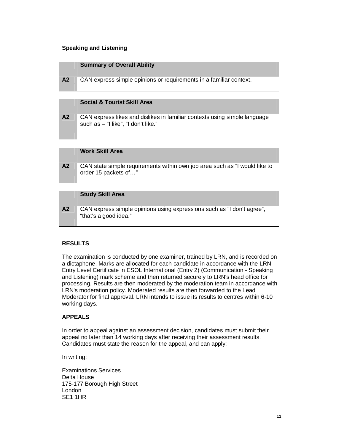#### **Speaking and Listening**

|      | <b>Summary of Overall Ability</b>                                  |
|------|--------------------------------------------------------------------|
| l A2 | CAN express simple opinions or requirements in a familiar context. |

#### **Social & Tourist Skill Area**

**A2** CAN express likes and dislikes in familiar contexts using simple language such as – "I like", "I don't like."

#### **Work Skill Area**

**A2** CAN state simple requirements within own job area such as "I would like to order 15 packets of…"

#### **Study Skill Area**

**A2** CAN express simple opinions using expressions such as "I don't agree", "that's a good idea."

#### **RESULTS**

The examination is conducted by one examiner, trained by LRN, and is recorded on a dictaphone. Marks are allocated for each candidate in accordance with the LRN Entry Level Certificate in ESOL International (Entry 2) (Communication - Speaking and Listening) mark scheme and then returned securely to LRN's head office for processing. Results are then moderated by the moderation team in accordance with LRN's moderation policy. Moderated results are then forwarded to the Lead Moderator for final approval. LRN intends to issue its results to centres within 6-10 working days.

#### **APPEALS**

In order to appeal against an assessment decision, candidates must submit their appeal no later than 14 working days after receiving their assessment results. Candidates must state the reason for the appeal, and can apply:

#### In writing:

Examinations Services Delta House 175-177 Borough High Street London SE1 1HR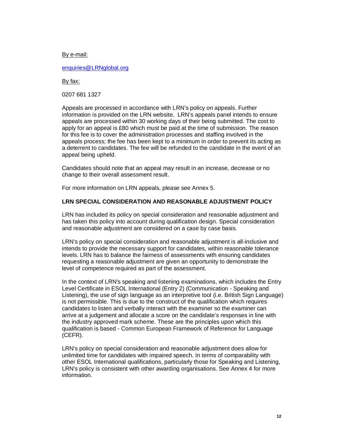By e-mail:

enquiries@LRNglobal.org

By fax:

0207 681 1327

Appeals are processed in accordance with LRN's policy on appeals. Further information is provided on the LRN website. LRN's appeals panel intends to ensure appeals are processed within 30 working days of their being submitted. The cost to apply for an appeal is £80 which must be paid at the time of submission. The reason for this fee is to cover the administration processes and staffing involved in the appeals process; the fee has been kept to a minimum in order to prevent its acting as a deterrent to candidates. The fee will be refunded to the candidate in the event of an appeal being upheld.

Candidates should note that an appeal may result in an increase, decrease or no change to their overall assessment result.

For more information on LRN appeals, please see Annex 5.

#### **LRN SPECIAL CONSIDERATION AND REASONABLE ADJUSTMENT POLICY**

LRN has included its policy on special consideration and reasonable adjustment and has taken this policy into account during qualification design. Special consideration and reasonable adjustment are considered on a case by case basis.

LRN's policy on special consideration and reasonable adjustment is all-inclusive and intends to provide the necessary support for candidates, within reasonable tolerance levels. LRN has to balance the fairness of assessments with ensuring candidates requesting a reasonable adjustment are given an opportunity to demonstrate the level of competence required as part of the assessment.

In the context of LRN's speaking and listening examinations, which includes the Entry Level Certificate in ESOL International (Entry 2) (Communication - Speaking and Listening), the use of sign language as an interpretive tool (i.e. British Sign Language) is not permissible. This is due to the construct of the qualification which requires candidates to listen and verbally interact with the examiner so the examiner can arrive at a judgement and allocate a score on the candidate's responses in line with the industry approved mark scheme. These are the principles upon which this qualification is based - Common European Framework of Reference for Language (CEFR).

LRN's policy on special consideration and reasonable adjustment does allow for unlimited time for candidates with impaired speech. In terms of comparability with other ESOL International qualifications, particularly those for Speaking and Listening, LRN's policy is consistent with other awarding organisations. See Annex 4 for more information.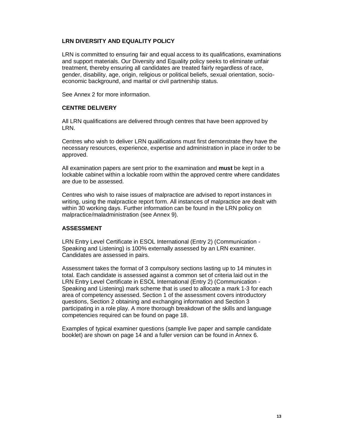#### **LRN DIVERSITY AND EQUALITY POLICY**

LRN is committed to ensuring fair and equal access to its qualifications, examinations and support materials. Our Diversity and Equality policy seeks to eliminate unfair treatment, thereby ensuring all candidates are treated fairly regardless of race, gender, disability, age, origin, religious or political beliefs, sexual orientation, socioeconomic background, and marital or civil partnership status.

See Annex 2 for more information.

#### **CENTRE DELIVERY**

All LRN qualifications are delivered through centres that have been approved by LRN.

Centres who wish to deliver LRN qualifications must first demonstrate they have the necessary resources, experience, expertise and administration in place in order to be approved.

All examination papers are sent prior to the examination and **must** be kept in a lockable cabinet within a lockable room within the approved centre where candidates are due to be assessed.

Centres who wish to raise issues of malpractice are advised to report instances in writing, using the malpractice report form. All instances of malpractice are dealt with within 30 working days. Further information can be found in the LRN policy on malpractice/maladministration (see Annex 9).

#### **ASSESSMENT**

LRN Entry Level Certificate in ESOL International (Entry 2) (Communication - Speaking and Listening) is 100% externally assessed by an LRN examiner. Candidates are assessed in pairs.

Assessment takes the format of 3 compulsory sections lasting up to 14 minutes in total. Each candidate is assessed against a common set of criteria laid out in the LRN Entry Level Certificate in ESOL International (Entry 2) (Communication - Speaking and Listening) mark scheme that is used to allocate a mark 1-3 for each area of competency assessed. Section 1 of the assessment covers introductory questions, Section 2 obtaining and exchanging information and Section 3 participating in a role play. A more thorough breakdown of the skills and language competencies required can be found on page 18.

Examples of typical examiner questions (sample live paper and sample candidate booklet) are shown on page 14 and a fuller version can be found in Annex 6.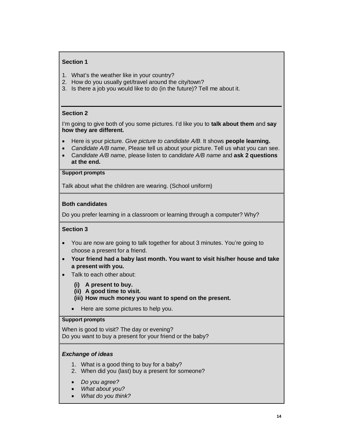#### **Section 1**

- 1. What's the weather like in your country?
- 2. How do you usually get/travel around the city/town?
- 3. Is there a job you would like to do (in the future)? Tell me about it.

#### **Section 2**

I'm going to give both of you some pictures. I'd like you to **talk about them** and **say how they are different.**

- Here is your picture. *Give picture to candidate A/B*. It shows **people learning.**
- *Candidate A/B name*, Please tell us about your picture. Tell us what you can see.
- C*andidate A/B name,* please listen to *candidate A/B name* and **ask 2 questions at the end.**

#### **Support prompts**

Talk about what the children are wearing. (School uniform)

#### **Both candidates**

Do you prefer learning in a classroom or learning through a computer? Why?

#### **Section 3**

- You are now are going to talk together for about 3 minutes. You're going to choose a present for a friend.
- **Your friend had a baby last month. You want to visit his/her house and take a present with you.**
- Talk to each other about:
	- **(i) A present to buy.**
	- **(ii) A good time to visit.**
	- **(iii) How much money you want to spend on the present.**
	- Here are some pictures to help you.

#### **Support prompts**

When is good to visit? The day or evening? Do you want to buy a present for your friend or the baby?

#### *Exchange of ideas*

- 1. What is a good thing to buy for a baby?
- 2. When did you (last) buy a present for someone?
- *Do you agree?*
- *What about you?*
- *What do you think?*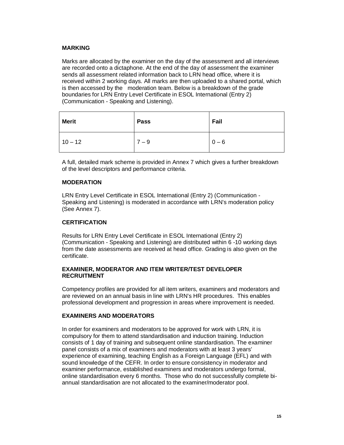#### **MARKING**

Marks are allocated by the examiner on the day of the assessment and all interviews are recorded onto a dictaphone. At the end of the day of assessment the examiner sends all assessment related information back to LRN head office, where it is received within 2 working days. All marks are then uploaded to a shared portal, which is then accessed by the moderation team. Below is a breakdown of the grade boundaries for LRN Entry Level Certificate in ESOL International (Entry 2) (Communication - Speaking and Listening).

| <b>Merit</b> | Pass    | Fail    |
|--------------|---------|---------|
| $10 - 12$    | $7 - 9$ | $0 - 6$ |

A full, detailed mark scheme is provided in Annex 7 which gives a further breakdown of the level descriptors and performance criteria.

#### **MODERATION**

LRN Entry Level Certificate in ESOL International (Entry 2) (Communication - Speaking and Listening) is moderated in accordance with LRN's moderation policy (See Annex 7).

#### **CERTIFICATION**

Results for LRN Entry Level Certificate in ESOL International (Entry 2) (Communication - Speaking and Listening) are distributed within 6 -10 working days from the date assessments are received at head office. Grading is also given on the certificate.

#### **EXAMINER, MODERATOR AND ITEM WRITER/TEST DEVELOPER RECRUITMENT**

Competency profiles are provided for all item writers, examiners and moderators and are reviewed on an annual basis in line with LRN's HR procedures. This enables professional development and progression in areas where improvement is needed.

#### **EXAMINERS AND MODERATORS**

In order for examiners and moderators to be approved for work with LRN, it is compulsory for them to attend standardisation and induction training. Induction consists of 1 day of training and subsequent online standardisation. The examiner panel consists of a mix of examiners and moderators with at least 3 years' experience of examining, teaching English as a Foreign Language (EFL) and with sound knowledge of the CEFR. In order to ensure consistency in moderator and examiner performance, established examiners and moderators undergo formal, online standardisation every 6 months. Those who do not successfully complete biannual standardisation are not allocated to the examiner/moderator pool.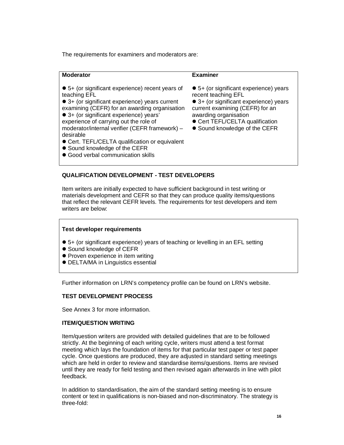The requirements for examiners and moderators are:

#### **Moderator Examiner** 5+ (or significant experience) recent years of teaching EFL ● 3+ (or significant experience) years current examining (CEFR) for an awarding organisation ● 3+ (or significant experience) years' experience of carrying out the role of moderator/internal verifier (CEFR framework) –

- desirable ● Cert. TEFL/CELTA qualification or equivalent
- Sound knowledge of the CEFR
- 

#### Good verbal communication skills

- 5+ (or significant experience) years recent teaching EFL
- 3+ (or significant experience) years current examining (CEFR) for an awarding organisation
- Cert TEFL/CELTA qualification
- Sound knowledge of the CEFR

#### **QUALIFICATION DEVELOPMENT - TEST DEVELOPERS**

Item writers are initially expected to have sufficient background in test writing or materials development and CEFR so that they can produce quality items/questions that reflect the relevant CEFR levels. The requirements for test developers and item writers are below:

#### **Test developer requirements**

- 5+ (or significant experience) years of teaching or levelling in an EFL setting
- Sound knowledge of CEFR
- Proven experience in item writing
- DELTA/MA in Linguistics essential

Further information on LRN's competency profile can be found on LRN's website.

#### **TEST DEVELOPMENT PROCESS**

See Annex 3 for more information.

#### **ITEM/QUESTION WRITING**

Item/question writers are provided with detailed guidelines that are to be followed strictly. At the beginning of each writing cycle, writers must attend a test format meeting which lays the foundation of items for that particular test paper or test paper cycle. Once questions are produced, they are adjusted in standard setting meetings which are held in order to review and standardise items/questions. Items are revised until they are ready for field testing and then revised again afterwards in line with pilot feedback.

In addition to standardisation, the aim of the standard setting meeting is to ensure content or text in qualifications is non-biased and non-discriminatory. The strategy is three-fold: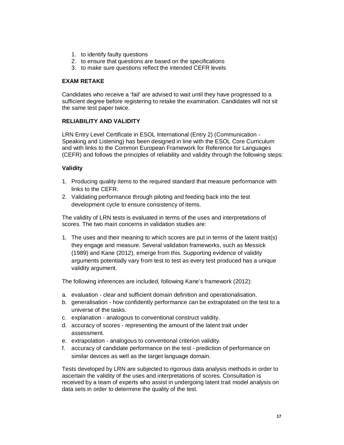- 1. to identify faulty questions
- 2. to ensure that questions are based on the specifications
- 3. to make sure questions reflect the intended CEFR levels

#### **EXAM RETAKE**

Candidates who receive a 'fail' are advised to wait until they have progressed to a sufficient degree before registering to retake the examination. Candidates will not sit the same test paper twice.

#### **RELIABILITY AND VALIDITY**

LRN Entry Level Certificate in ESOL International (Entry 2) (Communication - Speaking and Listening) has been designed in line with the ESOL Core Curriculum and with links to the Common European Framework for Reference for Languages (CEFR) and follows the principles of reliability and validity through the following steps:

#### **Validity**

- 1. Producing quality items to the required standard that measure performance with links to the CEFR.
- 2. Validating performance through piloting and feeding back into the test development cycle to ensure consistency of items.

The validity of LRN tests is evaluated in terms of the uses and interpretations of scores. The two main concerns in validation studies are:

1. The uses and their meaning to which scores are put in terms of the latent trait(s) they engage and measure. Several validation frameworks, such as Messick (1989) and Kane (2012), emerge from this. Supporting evidence of validity arguments potentially vary from test to test as every test produced has a unique validity argument.

The following inferences are included, following Kane's framework (2012):

- a. evaluation clear and sufficient domain definition and operationalisation.
- b. generalisation how confidently performance can be extrapolated on the test to a universe of the tasks.
- c. explanation analogous to conventional construct validity.
- d. accuracy of scores representing the amount of the latent trait under assessment.
- e. extrapolation analogous to conventional criterion validity.
- f. accuracy of candidate performance on the test prediction of performance on similar devices as well as the target language domain.

Tests developed by LRN are subjected to rigorous data analysis methods in order to ascertain the validity of the uses and interpretations of scores. Consultation is received by a team of experts who assist in undergoing latent trait model analysis on data sets in order to determine the quality of the test.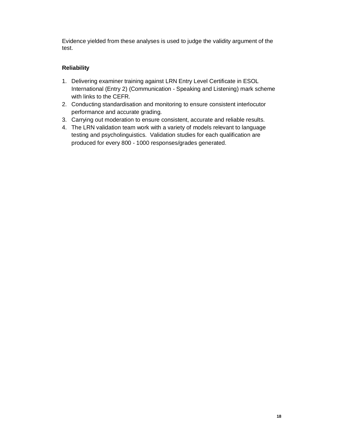Evidence yielded from these analyses is used to judge the validity argument of the test.

#### **Reliability**

- 1. Delivering examiner training against LRN Entry Level Certificate in ESOL International (Entry 2) (Communication - Speaking and Listening) mark scheme with links to the CEFR.
- 2. Conducting standardisation and monitoring to ensure consistent interlocutor performance and accurate grading.
- 3. Carrying out moderation to ensure consistent, accurate and reliable results.
- 4. The LRN validation team work with a variety of models relevant to language testing and psycholinguistics. Validation studies for each qualification are produced for every 800 - 1000 responses/grades generated.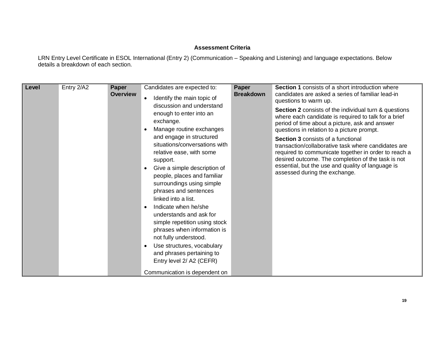#### **Assessment Criteria**

LRN Entry Level Certificate in ESOL International (Entry 2) (Communication – Speaking and Listening) and language expectations. Below details a breakdown of each section.

| Level | Entry 2/A2 | Paper<br><b>Overview</b> | Candidates are expected to:<br>Identify the main topic of<br>$\bullet$<br>discussion and understand<br>enough to enter into an<br>exchange.<br>Manage routine exchanges<br>and engage in structured<br>situations/conversations with<br>relative ease, with some<br>support.<br>Give a simple description of<br>people, places and familiar<br>surroundings using simple<br>phrases and sentences<br>linked into a list.<br>Indicate when he/she<br>understands and ask for<br>simple repetition using stock<br>phrases when information is<br>not fully understood.<br>Use structures, vocabulary<br>and phrases pertaining to<br>Entry level 2/ A2 (CEFR)<br>Communication is dependent on | Paper<br><b>Breakdown</b> | <b>Section 1</b> consists of a short introduction where<br>candidates are asked a series of familiar lead-in<br>questions to warm up.<br><b>Section 2</b> consists of the individual turn & questions<br>where each candidate is required to talk for a brief<br>period of time about a picture, ask and answer<br>questions in relation to a picture prompt.<br><b>Section 3</b> consists of a functional<br>transaction/collaborative task where candidates are<br>required to communicate together in order to reach a<br>desired outcome. The completion of the task is not<br>essential, but the use and quality of language is<br>assessed during the exchange. |
|-------|------------|--------------------------|----------------------------------------------------------------------------------------------------------------------------------------------------------------------------------------------------------------------------------------------------------------------------------------------------------------------------------------------------------------------------------------------------------------------------------------------------------------------------------------------------------------------------------------------------------------------------------------------------------------------------------------------------------------------------------------------|---------------------------|-----------------------------------------------------------------------------------------------------------------------------------------------------------------------------------------------------------------------------------------------------------------------------------------------------------------------------------------------------------------------------------------------------------------------------------------------------------------------------------------------------------------------------------------------------------------------------------------------------------------------------------------------------------------------|
|-------|------------|--------------------------|----------------------------------------------------------------------------------------------------------------------------------------------------------------------------------------------------------------------------------------------------------------------------------------------------------------------------------------------------------------------------------------------------------------------------------------------------------------------------------------------------------------------------------------------------------------------------------------------------------------------------------------------------------------------------------------------|---------------------------|-----------------------------------------------------------------------------------------------------------------------------------------------------------------------------------------------------------------------------------------------------------------------------------------------------------------------------------------------------------------------------------------------------------------------------------------------------------------------------------------------------------------------------------------------------------------------------------------------------------------------------------------------------------------------|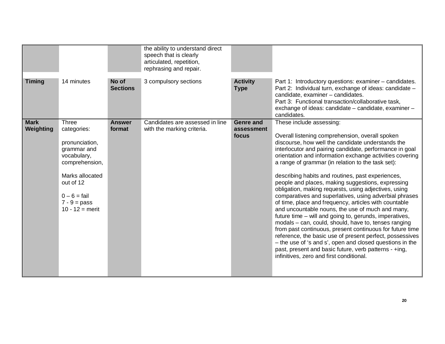|                          |                                                                                                                                                                                             |                          | the ability to understand direct<br>speech that is clearly<br>articulated, repetition,<br>rephrasing and repair. |                                         |                                                                                                                                                                                                                                                                                                                                                                                                                                                                                                                                                                                                                                                                                                                                                                                                                                                                                                                                                                                                                                                                  |
|--------------------------|---------------------------------------------------------------------------------------------------------------------------------------------------------------------------------------------|--------------------------|------------------------------------------------------------------------------------------------------------------|-----------------------------------------|------------------------------------------------------------------------------------------------------------------------------------------------------------------------------------------------------------------------------------------------------------------------------------------------------------------------------------------------------------------------------------------------------------------------------------------------------------------------------------------------------------------------------------------------------------------------------------------------------------------------------------------------------------------------------------------------------------------------------------------------------------------------------------------------------------------------------------------------------------------------------------------------------------------------------------------------------------------------------------------------------------------------------------------------------------------|
| <b>Timing</b>            | 14 minutes                                                                                                                                                                                  | No of<br><b>Sections</b> | 3 compulsory sections                                                                                            | <b>Activity</b><br><b>Type</b>          | Part 1: Introductory questions: examiner - candidates.<br>Part 2: Individual turn, exchange of ideas: candidate -<br>candidate, examiner - candidates.<br>Part 3: Functional transaction/collaborative task,<br>exchange of ideas: candidate - candidate, examiner -<br>candidates.                                                                                                                                                                                                                                                                                                                                                                                                                                                                                                                                                                                                                                                                                                                                                                              |
| <b>Mark</b><br>Weighting | <b>Three</b><br>categories:<br>pronunciation,<br>grammar and<br>vocabulary,<br>comprehension,<br>Marks allocated<br>out of 12<br>$0 - 6 = \text{fail}$<br>$7 - 9 = pass$<br>10 - 12 = merit | <b>Answer</b><br>format  | Candidates are assessed in line<br>with the marking criteria.                                                    | <b>Genre and</b><br>assessment<br>focus | These include assessing:<br>Overall listening comprehension, overall spoken<br>discourse, how well the candidate understands the<br>interlocutor and pairing candidate, performance in goal<br>orientation and information exchange activities covering<br>a range of grammar (in relation to the task set):<br>describing habits and routines, past experiences,<br>people and places, making suggestions, expressing<br>obligation, making requests, using adjectives, using<br>comparatives and superlatives, using adverbial phrases<br>of time, place and frequency, articles with countable<br>and uncountable nouns, the use of much and many,<br>future time – will and going to, gerunds, imperatives,<br>modals - can, could, should, have to, tenses ranging<br>from past continuous, present continuous for future time<br>reference, the basic use of present perfect, possessives<br>- the use of 's and s', open and closed questions in the<br>past, present and basic future, verb patterns - +ing,<br>infinitives, zero and first conditional. |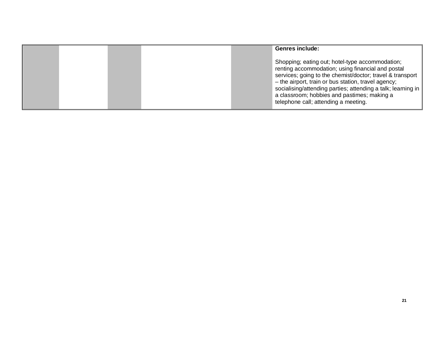|  | <b>Genres include:</b>                                                                                                                                                                                                                                                                                                                                                          |
|--|---------------------------------------------------------------------------------------------------------------------------------------------------------------------------------------------------------------------------------------------------------------------------------------------------------------------------------------------------------------------------------|
|  | Shopping; eating out; hotel-type accommodation;<br>renting accommodation; using financial and postal<br>services; going to the chemist/doctor; travel & transport<br>- the airport, train or bus station, travel agency;<br>socialising/attending parties; attending a talk; learning in<br>a classroom; hobbies and pastimes; making a<br>telephone call; attending a meeting. |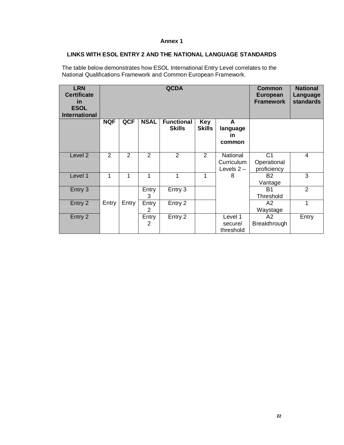#### **Annex 1**

#### **LINKS WITH ESOL ENTRY 2 AND THE NATIONAL LANGUAGE STANDARDS**

The table below demonstrates how ESOL International Entry Level correlates to the National Qualifications Framework and Common European Framework.

| <b>LRN</b><br><b>Certificate</b><br><u>in</u><br><b>ESOL</b><br><b>International</b> |                | <b>QCDA</b> |                |                                    |                             |                                       |                                              | <b>National</b><br>Language<br><b>standards</b> |
|--------------------------------------------------------------------------------------|----------------|-------------|----------------|------------------------------------|-----------------------------|---------------------------------------|----------------------------------------------|-------------------------------------------------|
|                                                                                      | <b>NQF</b>     | <b>QCF</b>  | <b>NSAL</b>    | <b>Functional</b><br><b>Skills</b> | <b>Key</b><br><b>Skills</b> | A<br>language<br>in<br>common         |                                              |                                                 |
| Level <sub>2</sub>                                                                   | $\overline{2}$ | 2           | $\overline{2}$ | 2                                  | 2                           | National<br>Curriculum<br>Levels $2-$ | C <sub>1</sub><br>Operational<br>proficiency | $\overline{4}$                                  |
| Level 1                                                                              | 1              | 1           | 1              | 1                                  | $\mathbf{1}$                | 8                                     | <b>B2</b><br>Vantage                         | 3                                               |
| Entry 3                                                                              |                |             | Entry<br>3     | Entry 3                            |                             |                                       | <b>B1</b><br>Threshold                       | 2                                               |
| Entry 2                                                                              | Entry          | Entry       | Entry<br>2     | Entry 2                            |                             |                                       | A2<br>Waystage                               |                                                 |
| Entry 2                                                                              |                |             | Entry<br>2     | Entry $\overline{2}$               |                             | Level 1<br>secure/<br>threshold       | A2<br>Breakthrough                           | Entry                                           |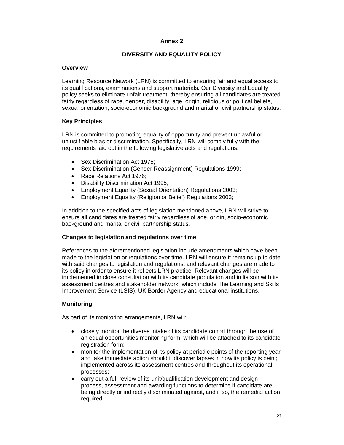#### **Annex 2**

#### **DIVERSITY AND EQUALITY POLICY**

#### **Overview**

Learning Resource Network (LRN) is committed to ensuring fair and equal access to its qualifications, examinations and support materials. Our Diversity and Equality policy seeks to eliminate unfair treatment, thereby ensuring all candidates are treated fairly regardless of race, gender, disability, age, origin, religious or political beliefs, sexual orientation, socio-economic background and marital or civil partnership status.

#### **Key Principles**

LRN is committed to promoting equality of opportunity and prevent unlawful or unjustifiable bias or discrimination. Specifically, LRN will comply fully with the requirements laid out in the following legislative acts and regulations:

- Sex Discrimination Act 1975:
- Sex Discrimination (Gender Reassignment) Regulations 1999;
- Race Relations Act 1976;
- Disability Discrimination Act 1995;
- Employment Equality (Sexual Orientation) Regulations 2003;
- Employment Equality (Religion or Belief) Regulations 2003;

In addition to the specified acts of legislation mentioned above, LRN will strive to ensure all candidates are treated fairly regardless of age, origin, socio-economic background and marital or civil partnership status.

#### **Changes to legislation and regulations over time**

References to the aforementioned legislation include amendments which have been made to the legislation or regulations over time. LRN will ensure it remains up to date with said changes to legislation and regulations, and relevant changes are made to its policy in order to ensure it reflects LRN practice. Relevant changes will be implemented in close consultation with its candidate population and in liaison with its assessment centres and stakeholder network, which include The Learning and Skills Improvement Service (LSIS), UK Border Agency and educational institutions.

#### **Monitoring**

As part of its monitoring arrangements, LRN will:

- closely monitor the diverse intake of its candidate cohort through the use of an equal opportunities monitoring form, which will be attached to its candidate registration form;
- monitor the implementation of its policy at periodic points of the reporting year and take immediate action should it discover lapses in how its policy is being implemented across its assessment centres and throughout its operational processes;
- carry out a full review of its unit/qualification development and design process, assessment and awarding functions to determine if candidate are being directly or indirectly discriminated against, and if so, the remedial action required;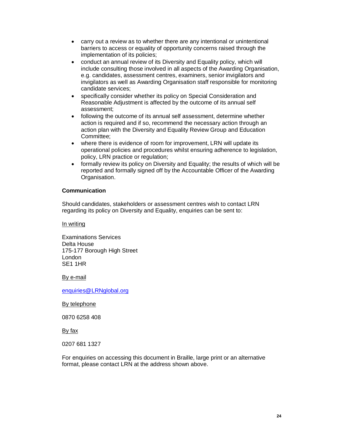- carry out a review as to whether there are any intentional or unintentional barriers to access or equality of opportunity concerns raised through the implementation of its policies;
- conduct an annual review of its Diversity and Equality policy, which will include consulting those involved in all aspects of the Awarding Organisation, e.g. candidates, assessment centres, examiners, senior invigilators and invigilators as well as Awarding Organisation staff responsible for monitoring candidate services;
- specifically consider whether its policy on Special Consideration and Reasonable Adjustment is affected by the outcome of its annual self assessment;
- following the outcome of its annual self assessment, determine whether action is required and if so, recommend the necessary action through an action plan with the Diversity and Equality Review Group and Education Committee;
- where there is evidence of room for improvement, LRN will update its operational policies and procedures whilst ensuring adherence to legislation, policy, LRN practice or regulation;
- formally review its policy on Diversity and Equality; the results of which will be reported and formally signed off by the Accountable Officer of the Awarding Organisation.

#### **Communication**

Should candidates, stakeholders or assessment centres wish to contact LRN regarding its policy on Diversity and Equality, enquiries can be sent to:

In writing

Examinations Services Delta House 175-177 Borough High Street London SE1 1HR

By e-mail

enquiries@LRNglobal.org

By telephone

0870 6258 408

By fax

0207 681 1327

For enquiries on accessing this document in Braille, large print or an alternative format, please contact LRN at the address shown above.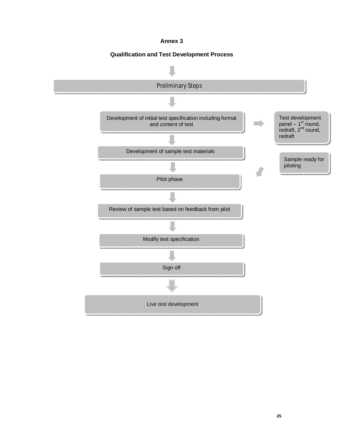#### **Annex 3**

#### **Qualification and Test Development Process**

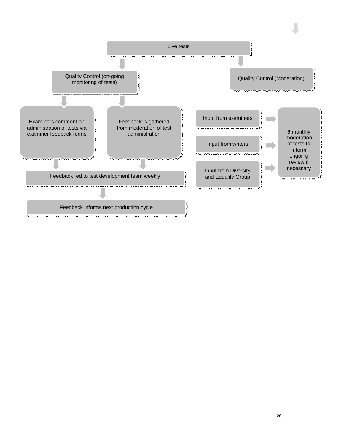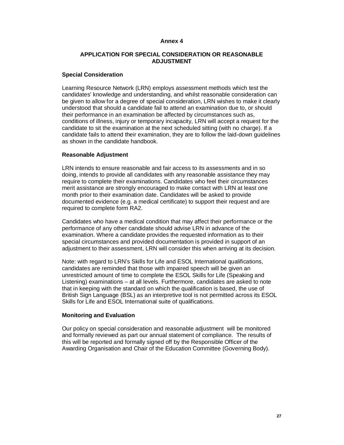#### **Annex 4**

#### **APPLICATION FOR SPECIAL CONSIDERATION OR REASONABLE ADJUSTMENT**

#### **Special Consideration**

Learning Resource Network (LRN) employs assessment methods which test the candidates' knowledge and understanding, and whilst reasonable consideration can be given to allow for a degree of special consideration, LRN wishes to make it clearly understood that should a candidate fail to attend an examination due to, or should their performance in an examination be affected by circumstances such as, conditions of illness, injury or temporary incapacity, LRN will accept a request for the candidate to sit the examination at the next scheduled sitting (with no charge). If a candidate fails to attend their examination, they are to follow the laid-down guidelines as shown in the candidate handbook.

#### **Reasonable Adjustment**

LRN intends to ensure reasonable and fair access to its assessments and in so doing, intends to provide all candidates with any reasonable assistance they may require to complete their examinations. Candidates who feel their circumstances merit assistance are strongly encouraged to make contact with LRN at least one month prior to their examination date. Candidates will be asked to provide documented evidence (e.g. a medical certificate) to support their request and are required to complete form RA2.

Candidates who have a medical condition that may affect their performance or the performance of any other candidate should advise LRN in advance of the examination. Where a candidate provides the requested information as to their special circumstances and provided documentation is provided in support of an adjustment to their assessment, LRN will consider this when arriving at its decision.

Note: with regard to LRN's Skills for Life and ESOL International qualifications, candidates are reminded that those with impaired speech will be given an unrestricted amount of time to complete the ESOL Skills for Life (Speaking and Listening) examinations – at all levels. Furthermore, candidates are asked to note that in keeping with the standard on which the qualification is based, the use of British Sign Language (BSL) as an interpretive tool is not permitted across its ESOL Skills for Life and ESOL International suite of qualifications.

#### **Monitoring and Evaluation**

Our policy on special consideration and reasonable adjustment will be monitored and formally reviewed as part our annual statement of compliance. The results of this will be reported and formally signed off by the Responsible Officer of the Awarding Organisation and Chair of the Education Committee (Governing Body).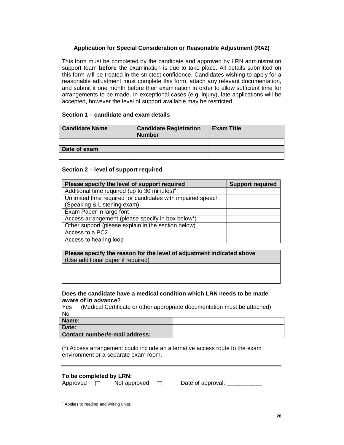#### **Application for Special Consideration or Reasonable Adjustment (RA2)**

This form must be completed by the candidate and approved by LRN administration support team **before** the examination is due to take place. All details submitted on this form will be treated in the strictest confidence. Candidates wishing to apply for a reasonable adjustment must complete this form, attach any relevant documentation, and submit it one month before their examination in order to allow sufficient time for arrangements to be made. In exceptional cases (e.g. injury), late applications will be accepted, however the level of support available may be restricted.

#### **Section 1 – candidate and exam details**

| <b>Candidate Name</b> | <b>Candidate Registration</b><br><b>Number</b> | <b>Exam Title</b> |
|-----------------------|------------------------------------------------|-------------------|
|                       |                                                |                   |
| Date of exam          |                                                |                   |
|                       |                                                |                   |

#### **Section 2 – level of support required**

| Please specify the level of support required                | <b>Support required</b> |
|-------------------------------------------------------------|-------------------------|
| Additional time required (up to 30 minutes) <sup>4</sup>    |                         |
| Unlimited time required for candidates with impaired speech |                         |
| (Speaking & Listening exam)                                 |                         |
| Exam Paper in large font                                    |                         |
| Access arrangement (please specify in box below*)           |                         |
| Other support (please explain in the section below)         |                         |
| Access to a PC2                                             |                         |
| Access to hearing loop                                      |                         |

**Please specify the reason for the level of adjustment indicated above** (Use additional paper if required)

#### **Does the candidate have a medical condition which LRN needs to be made aware of in advance?**

Yes (Medical Certificate or other appropriate documentation must be attached) No

| Name:                          |  |
|--------------------------------|--|
| Date:                          |  |
| Contact number/e-mail address: |  |

(\*) Access arrangement could include an alternative access route to the exam environment or a separate exam room.

**To be completed by LRN:**<br>Approved □ Not app

Not approved  $\Box$  Date of approval:  $\Box$ 

<sup>4</sup> Applies to reading and writing units.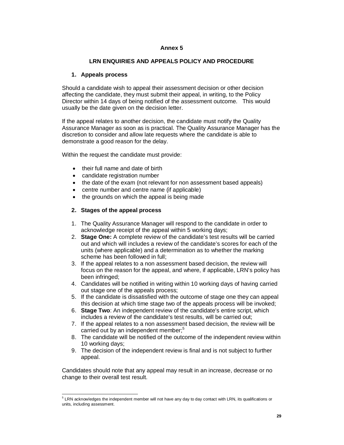#### **Annex 5**

#### **LRN ENQUIRIES AND APPEALS POLICY AND PROCEDURE**

#### **1. Appeals process**

Should a candidate wish to appeal their assessment decision or other decision affecting the candidate, they must submit their appeal, in writing, to the Policy Director within 14 days of being notified of the assessment outcome. This would usually be the date given on the decision letter.

If the appeal relates to another decision, the candidate must notify the Quality Assurance Manager as soon as is practical. The Quality Assurance Manager has the discretion to consider and allow late requests where the candidate is able to demonstrate a good reason for the delay.

Within the request the candidate must provide:

- their full name and date of birth
- candidate registration number
- the date of the exam (not relevant for non assessment based appeals)
- centre number and centre name (if applicable)
- the grounds on which the appeal is being made

#### **2. Stages of the appeal process**

- 1. The Quality Assurance Manager will respond to the candidate in order to acknowledge receipt of the appeal within 5 working days;
- 2. **Stage One:** A complete review of the candidate's test results will be carried out and which will includes a review of the candidate's scores for each of the units (where applicable) and a determination as to whether the marking scheme has been followed in full;
- 3. If the appeal relates to a non assessment based decision, the review will focus on the reason for the appeal, and where, if applicable, LRN's policy has been infringed;
- 4. Candidates will be notified in writing within 10 working days of having carried out stage one of the appeals process;
- 5. If the candidate is dissatisfied with the outcome of stage one they can appeal this decision at which time stage two of the appeals process will be invoked;
- 6. **Stage Two**: An independent review of the candidate's entire script, which includes a review of the candidate's test results, will be carried out;
- 7. If the appeal relates to a non assessment based decision, the review will be carried out by an independent member;<sup>5</sup>
- 8. The candidate will be notified of the outcome of the independent review within 10 working days;
- 9. The decision of the independent review is final and is not subject to further appeal.

Candidates should note that any appeal may result in an increase, decrease or no change to their overall test result.

 5 LRN acknowledges the independent member will not have any day to day contact with LRN, its qualifications or units, including assessment.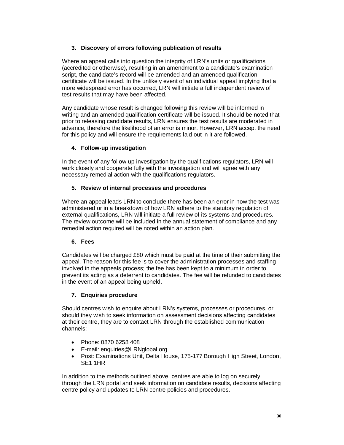#### **3. Discovery of errors following publication of results**

Where an appeal calls into question the integrity of LRN's units or qualifications (accredited or otherwise), resulting in an amendment to a candidate's examination script, the candidate's record will be amended and an amended qualification certificate will be issued. In the unlikely event of an individual appeal implying that a more widespread error has occurred, LRN will initiate a full independent review of test results that may have been affected.

Any candidate whose result is changed following this review will be informed in writing and an amended qualification certificate will be issued. It should be noted that prior to releasing candidate results, LRN ensures the test results are moderated in advance, therefore the likelihood of an error is minor. However, LRN accept the need for this policy and will ensure the requirements laid out in it are followed.

#### **4. Follow-up investigation**

In the event of any follow-up investigation by the qualifications regulators, LRN will work closely and cooperate fully with the investigation and will agree with any necessary remedial action with the qualifications regulators.

#### **5. Review of internal processes and procedures**

Where an appeal leads LRN to conclude there has been an error in how the test was administered or in a breakdown of how LRN adhere to the statutory regulation of external qualifications, LRN will initiate a full review of its systems and procedures. The review outcome will be included in the annual statement of compliance and any remedial action required will be noted within an action plan.

#### **6. Fees**

Candidates will be charged £80 which must be paid at the time of their submitting the appeal. The reason for this fee is to cover the administration processes and staffing involved in the appeals process; the fee has been kept to a minimum in order to prevent its acting as a deterrent to candidates. The fee will be refunded to candidates in the event of an appeal being upheld.

#### **7. Enquiries procedure**

Should centres wish to enquire about LRN's systems, processes or procedures, or should they wish to seek information on assessment decisions affecting candidates at their centre, they are to contact LRN through the established communication channels:

- Phone: 0870 6258 408
- E-mail: enquiries@LRNglobal.org
- Post: Examinations Unit, Delta House, 175-177 Borough High Street, London, SE1 1HR

In addition to the methods outlined above, centres are able to log on securely through the LRN portal and seek information on candidate results, decisions affecting centre policy and updates to LRN centre policies and procedures.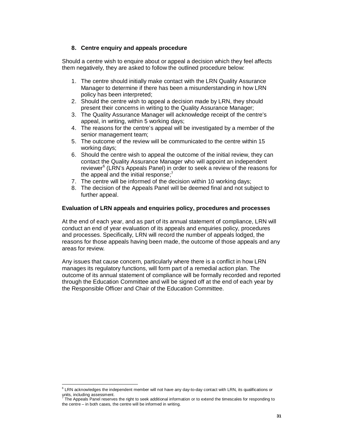#### **8. Centre enquiry and appeals procedure**

Should a centre wish to enquire about or appeal a decision which they feel affects them negatively, they are asked to follow the outlined procedure below:

- 1. The centre should initially make contact with the LRN Quality Assurance Manager to determine if there has been a misunderstanding in how LRN policy has been interpreted;
- 2. Should the centre wish to appeal a decision made by LRN, they should present their concerns in writing to the Quality Assurance Manager;
- 3. The Quality Assurance Manager will acknowledge receipt of the centre's appeal, in writing, within 5 working days;
- 4. The reasons for the centre's appeal will be investigated by a member of the senior management team;
- 5. The outcome of the review will be communicated to the centre within 15 working days;
- 6. Should the centre wish to appeal the outcome of the initial review, they can contact the Quality Assurance Manager who will appoint an independent reviewer<sup>6</sup> (LRN's Appeals Panel) in order to seek a review of the reasons for the appeal and the initial response; $\frac{7}{5}$
- 7. The centre will be informed of the decision within 10 working days;
- 8. The decision of the Appeals Panel will be deemed final and not subject to further appeal.

#### **Evaluation of LRN appeals and enquiries policy, procedures and processes**

At the end of each year, and as part of its annual statement of compliance, LRN will conduct an end of year evaluation of its appeals and enquiries policy, procedures and processes. Specifically, LRN will record the number of appeals lodged, the reasons for those appeals having been made, the outcome of those appeals and any areas for review.

Any issues that cause concern, particularly where there is a conflict in how LRN manages its regulatory functions, will form part of a remedial action plan. The outcome of its annual statement of compliance will be formally recorded and reported through the Education Committee and will be signed off at the end of each year by the Responsible Officer and Chair of the Education Committee.

 6 LRN acknowledges the independent member will not have any day-to-day contact with LRN, its qualifications or units, including assessment.<br><sup>7</sup> The Anneale Repol recents

The Appeals Panel reserves the right to seek additional information or to extend the timescales for responding to the centre – in both cases, the centre will be informed in writing.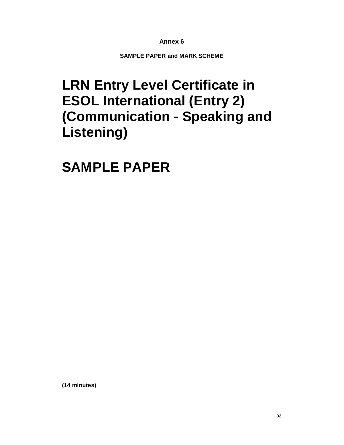**Annex 6**

**SAMPLE PAPER and MARK SCHEME**

## **LRN Entry Level Certificate in ESOL International (Entry 2) (Communication - Speaking and Listening)**

**SAMPLE PAPER**

**(14 minutes)**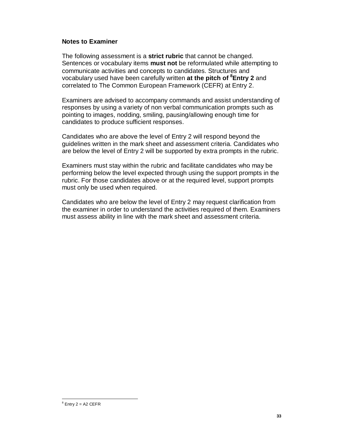#### **Notes to Examiner**

The following assessment is a **strict rubric** that cannot be changed. Sentences or vocabulary items **must not** be reformulated while attempting to communicate activities and concepts to candidates. Structures and vocabulary used have been carefully written **at the pitch of <sup>8</sup>Entry 2** and correlated to The Common European Framework (CEFR) at Entry 2.

Examiners are advised to accompany commands and assist understanding of responses by using a variety of non verbal communication prompts such as pointing to images, nodding, smiling, pausing/allowing enough time for candidates to produce sufficient responses.

Candidates who are above the level of Entry 2 will respond beyond the guidelines written in the mark sheet and assessment criteria. Candidates who are below the level of Entry 2 will be supported by extra prompts in the rubric.

Examiners must stay within the rubric and facilitate candidates who may be performing below the level expected through using the support prompts in the rubric. For those candidates above or at the required level, support prompts must only be used when required.

Candidates who are below the level of Entry 2 may request clarification from the examiner in order to understand the activities required of them. Examiners must assess ability in line with the mark sheet and assessment criteria.

 $8$  Entry 2 = A2 CEFR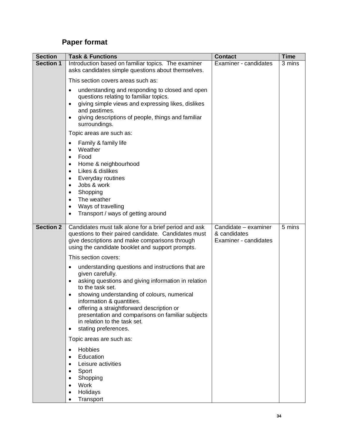#### **Paper format**

| <b>Section</b>   | <b>Task &amp; Functions</b>                                                                                                                                                                                                                                                                                                                                                                                                | <b>Contact</b>                                                | <b>Time</b> |
|------------------|----------------------------------------------------------------------------------------------------------------------------------------------------------------------------------------------------------------------------------------------------------------------------------------------------------------------------------------------------------------------------------------------------------------------------|---------------------------------------------------------------|-------------|
| <b>Section 1</b> | Introduction based on familiar topics. The examiner<br>asks candidates simple questions about themselves.                                                                                                                                                                                                                                                                                                                  | Examiner - candidates                                         | 3 mins      |
|                  | This section covers areas such as:                                                                                                                                                                                                                                                                                                                                                                                         |                                                               |             |
|                  | understanding and responding to closed and open<br>$\bullet$<br>questions relating to familiar topics.<br>giving simple views and expressing likes, dislikes<br>$\bullet$<br>and pastimes.<br>giving descriptions of people, things and familiar<br>$\bullet$<br>surroundings.                                                                                                                                             |                                                               |             |
|                  | Topic areas are such as:                                                                                                                                                                                                                                                                                                                                                                                                   |                                                               |             |
|                  | Family & family life<br>$\bullet$<br>Weather<br>$\bullet$<br>Food<br>$\bullet$<br>Home & neighbourhood<br>$\bullet$<br>Likes & dislikes<br>$\bullet$<br>Everyday routines<br>$\bullet$<br>Jobs & work<br>$\bullet$<br>Shopping<br>$\bullet$<br>The weather<br>$\bullet$<br>Ways of travelling<br>$\bullet$<br>Transport / ways of getting around<br>$\bullet$                                                              |                                                               |             |
| <b>Section 2</b> | Candidates must talk alone for a brief period and ask<br>questions to their paired candidate. Candidates must<br>give descriptions and make comparisons through<br>using the candidate booklet and support prompts.                                                                                                                                                                                                        | Candidate - examiner<br>& candidates<br>Examiner - candidates | 5 mins      |
|                  | This section covers:                                                                                                                                                                                                                                                                                                                                                                                                       |                                                               |             |
|                  | understanding questions and instructions that are<br>$\bullet$<br>given carefully.<br>asking questions and giving information in relation<br>٠<br>to the task set.<br>showing understanding of colours, numerical<br>information & quantities.<br>offering a straightforward description or<br>$\bullet$<br>presentation and comparisons on familiar subjects<br>in relation to the task set.<br>stating preferences.<br>٠ |                                                               |             |
|                  | Topic areas are such as:                                                                                                                                                                                                                                                                                                                                                                                                   |                                                               |             |
|                  | Hobbies<br>$\bullet$<br>Education<br>$\bullet$<br>Leisure activities<br>$\bullet$<br>Sport<br>$\bullet$<br>Shopping<br>$\bullet$<br>Work<br>Holidays<br>Transport                                                                                                                                                                                                                                                          |                                                               |             |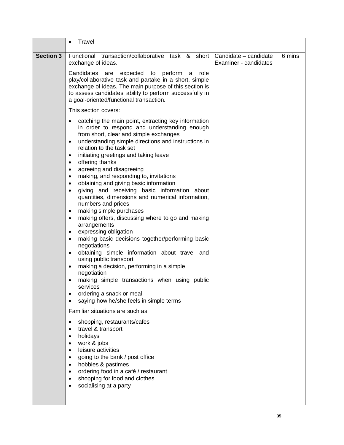| <b>Section 3</b><br>Functional transaction/collaborative task & short<br>exchange of ideas.<br>Candidates are<br>expected to perform<br>role<br>a<br>play/collaborative task and partake in a short, simple<br>exchange of ideas. The main purpose of this section is<br>to assess candidates' ability to perform successfully in<br>a goal-oriented/functional transaction.                                                                                                                                                                                                                                                                                                                                                                                                                                                                                                                                                                                                                                                                                                                                                                                                                                                                                                                                                                                                                                                                                                                                                                                        | Candidate - candidate<br>Examiner - candidates | 6 mins |
|---------------------------------------------------------------------------------------------------------------------------------------------------------------------------------------------------------------------------------------------------------------------------------------------------------------------------------------------------------------------------------------------------------------------------------------------------------------------------------------------------------------------------------------------------------------------------------------------------------------------------------------------------------------------------------------------------------------------------------------------------------------------------------------------------------------------------------------------------------------------------------------------------------------------------------------------------------------------------------------------------------------------------------------------------------------------------------------------------------------------------------------------------------------------------------------------------------------------------------------------------------------------------------------------------------------------------------------------------------------------------------------------------------------------------------------------------------------------------------------------------------------------------------------------------------------------|------------------------------------------------|--------|
| This section covers:<br>catching the main point, extracting key information<br>٠<br>in order to respond and understanding enough<br>from short, clear and simple exchanges<br>understanding simple directions and instructions in<br>٠<br>relation to the task set<br>initiating greetings and taking leave<br>٠<br>offering thanks<br>٠<br>agreeing and disagreeing<br>$\bullet$<br>making, and responding to, invitations<br>٠<br>obtaining and giving basic information<br>٠<br>giving and receiving basic information about<br>$\bullet$<br>quantities, dimensions and numerical information,<br>numbers and prices<br>making simple purchases<br>$\bullet$<br>making offers, discussing where to go and making<br>٠<br>arrangements<br>expressing obligation<br>$\bullet$<br>making basic decisions together/performing basic<br>٠<br>negotiations<br>obtaining simple information about travel and<br>$\bullet$<br>using public transport<br>making a decision, performing in a simple<br>٠<br>negotiation<br>making simple transactions when using public<br>services<br>ordering a snack or meal<br>٠<br>saying how he/she feels in simple terms<br>Familiar situations are such as:<br>shopping, restaurants/cafes<br>$\bullet$<br>travel & transport<br>٠<br>holidays<br>$\bullet$<br>work & jobs<br>$\bullet$<br>leisure activities<br>$\bullet$<br>going to the bank / post office<br>$\bullet$<br>hobbies & pastimes<br>$\bullet$<br>ordering food in a café / restaurant<br>$\bullet$<br>shopping for food and clothes<br>٠<br>socialising at a party |                                                |        |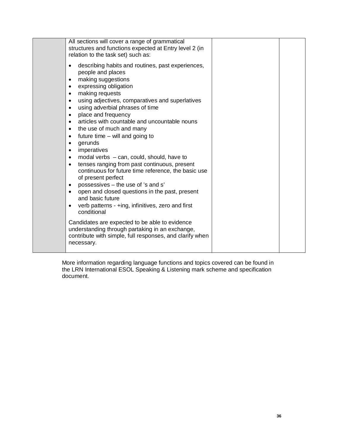| All sections will cover a range of grammatical<br>structures and functions expected at Entry level 2 (in<br>relation to the task set) such as:                                                                                                                                                                                                                                                                                                                                                        |  |
|-------------------------------------------------------------------------------------------------------------------------------------------------------------------------------------------------------------------------------------------------------------------------------------------------------------------------------------------------------------------------------------------------------------------------------------------------------------------------------------------------------|--|
| describing habits and routines, past experiences,<br>$\bullet$<br>people and places<br>making suggestions<br>$\bullet$<br>expressing obligation<br>$\bullet$<br>making requests<br>$\bullet$<br>using adjectives, comparatives and superlatives<br>$\bullet$<br>using adverbial phrases of time<br>$\bullet$<br>place and frequency<br>$\bullet$<br>articles with countable and uncountable nouns<br>$\bullet$<br>the use of much and many<br>$\bullet$                                               |  |
| future time $-$ will and going to<br>$\bullet$<br>gerunds<br>$\bullet$<br>imperatives<br>$\bullet$<br>modal verbs $-$ can, could, should, have to<br>$\bullet$<br>tenses ranging from past continuous, present<br>$\bullet$<br>continuous for future time reference, the basic use<br>of present perfect<br>possessives – the use of 's and s'<br>$\bullet$<br>open and closed questions in the past, present<br>and basic future<br>verb patterns - +ing, infinitives, zero and first<br>conditional |  |
| Candidates are expected to be able to evidence<br>understanding through partaking in an exchange,<br>contribute with simple, full responses, and clarify when<br>necessary.                                                                                                                                                                                                                                                                                                                           |  |

More information regarding language functions and topics covered can be found in the LRN International ESOL Speaking & Listening mark scheme and specification document.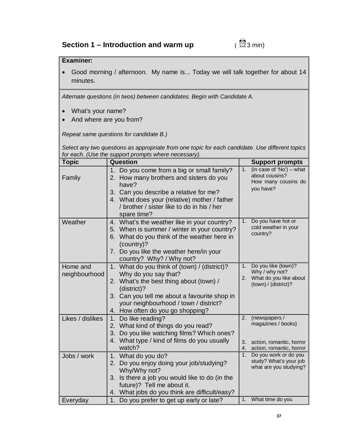

#### **Examiner:**

 Good morning / afternoon. My name is... Today we will talk together for about 14 minutes.

*Alternate questions (in twos) between candidates. Begin with Candidate A.*

- What's your name?
- And where are you from?

*Repeat same questions for candidate B.)* 

*Select any two questions as appropriate from one topic for each candidate. Use different topics for each. (Use the support prompts where necessary).*

| <b>Topic</b>              | oud the cappel t prompto milero nocceder<br><b>Question</b>                                                                                                                                                                                                 |                | <b>Support prompts</b>                                                                      |
|---------------------------|-------------------------------------------------------------------------------------------------------------------------------------------------------------------------------------------------------------------------------------------------------------|----------------|---------------------------------------------------------------------------------------------|
| Family                    | Do you come from a big or small family?<br>1.<br>How many brothers and sisters do you<br>2.<br>have?<br>3. Can you describe a relative for me?<br>4. What does your (relative) mother / father<br>/ brother / sister like to do in his / her<br>spare time? | 1.             | $(in case of 'No') - what$<br>about cousins?<br>How many cousins do<br>you have?            |
| Weather                   | 4. What's the weather like in your country?<br>5. When is summer / winter in your country?<br>6. What do you think of the weather here in<br>(country)?<br>7. Do you like the weather here/in your<br>country? Why? / Why not?                              | 1.             | Do you have hot or<br>cold weather in your<br>country?                                      |
| Home and<br>neighbourhood | 1. What do you think of (town) / (district)?<br>Why do you say that?<br>2. What's the best thing about (town) /<br>(district)?<br>3. Can you tell me about a favourite shop in<br>your neighbourhood / town / district?<br>4. How often do you go shopping? | 1.<br>2.       | Do you like (town)?<br>Why / why not?<br>What do you like about<br>(town) / (district)?     |
| Likes / dislikes          | 1.<br>Do like reading?<br>What kind of things do you read?<br>2.<br>Do you like watching films? Which ones?<br>3.<br>4. What type / kind of films do you usually<br>watch?                                                                                  | 2.<br>3.<br>4. | (newspapers /<br>magazines / books)<br>action, romantic, horror<br>action, romantic, horror |
| Jobs / work               | 1. What do you do?<br>2. Do you enjoy doing your job/studying?<br>Why/Why not?<br>3. Is there a job you would like to do (in the<br>future)? Tell me about it.<br>4. What jobs do you think are difficult/easy?                                             | 1 <sub>1</sub> | Do you work or do you<br>study? What's your job<br>what are you studying?                   |
| Everyday                  | Do you prefer to get up early or late?<br>1.                                                                                                                                                                                                                |                | 1. What time do you                                                                         |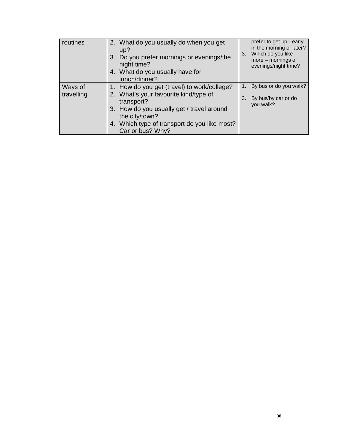| routines   | 2. What do you usually do when you get<br>up?<br>3. Do you prefer mornings or evenings/the<br>night time?                                                          | 3. | prefer to get up - early<br>in the morning or later?<br>Which do you like<br>$more - morning$ or<br>evenings/night time? |
|------------|--------------------------------------------------------------------------------------------------------------------------------------------------------------------|----|--------------------------------------------------------------------------------------------------------------------------|
|            | 4. What do you usually have for<br>lunch/dinner?                                                                                                                   |    |                                                                                                                          |
| Ways of    | 1. How do you get (travel) to work/college?                                                                                                                        |    | 1. By bus or do you walk?                                                                                                |
| travelling | 2. What's your favourite kind/type of<br>transport?<br>3. How do you usually get / travel around<br>the city/town?<br>4. Which type of transport do you like most? | 3. | By bus/by car or do<br>you walk?                                                                                         |
|            | Car or bus? Why?                                                                                                                                                   |    |                                                                                                                          |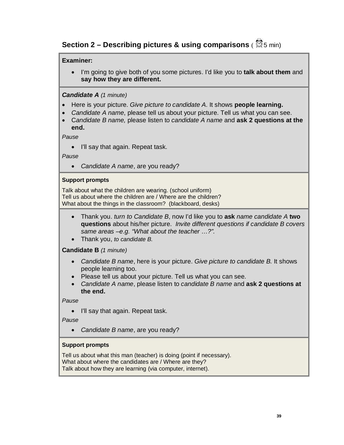#### **Section 2 – Describing pictures & using comparisons (** $\circledS$  **5 min)**

#### **Examiner:**

 I'm going to give both of you some pictures. I'd like you to **talk about them** and **say how they are different.**

#### *Candidate A (1 minute)*

- Here is your picture. *Give picture to candidate A*. It shows **people learning.**
- *Candidate A name*, please tell us about your picture. Tell us what you can see.
- C*andidate B name,* please listen to *candidate A name* and **ask 2 questions at the end.**

*Pause*

• I'll say that again. Repeat task.

*Pause*

*Candidate A name*, are you ready?

#### **Support prompts**

Talk about what the children are wearing. (school uniform) Tell us about where the children are / Where are the children? What about the things in the classroom? (blackboard, desks)

- Thank you. *turn to Candidate B*, now I'd like you to **ask** *name candidate A* **two questions** about his/her picture. *Invite different questions if candidate B covers same areas –e.g. "What about the teacher …?".*
- Thank you, *to candidate B.*

#### **Candidate B** *(1 minute)*

- *Candidate B name*, here is your picture. *Give picture to candidate B.* It shows people learning too.
- Please tell us about your picture. Tell us what you can see.
- *Candidate A name*, please listen to *candidate B name* and **ask 2 questions at the end.**

*Pause*

• I'll say that again. Repeat task.

*Pause*

*Candidate B name*, are you ready?

#### **Support prompts**

Tell us about what this man (teacher) is doing (point if necessary). What about where the candidates are / Where are they? Talk about how they are learning (via computer, internet).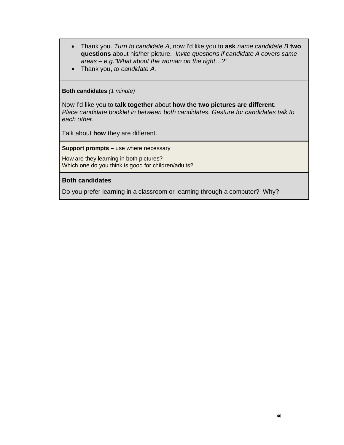- Thank you. *Turn to candidate A*, now I'd like you to **ask** *name candidate B* **two questions** about his/her picture. *Invite questions if candidate A covers same areas – e.g."What about the woman on the right…?"*
- Thank you, *to candidate A.*

**Both candidates** *(1 minute)*

Now I'd like you to **talk together** about **how the two pictures are different**. *Place candidate booklet in between both candidates. Gesture for candidates talk to each other.*

Talk about **how** they are different.

**Support prompts –** use where necessary

How are they learning in both pictures? Which one do you think is good for children/adults?

#### **Both candidates**

Do you prefer learning in a classroom or learning through a computer? Why?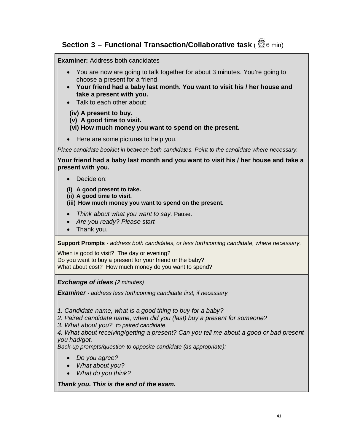### **Section 3 – Functional Transaction/Collaborative task** ( <sup>3</sup> 6 min)

**Examiner:** Address both candidates

- You are now are going to talk together for about 3 minutes. You're going to choose a present for a friend.
- **Your friend had a baby last month. You want to visit his / her house and take a present with you.**
- Talk to each other about:
- **(iv) A present to buy.**
- **(v) A good time to visit.**
- **(vi) How much money you want to spend on the present.**
- Here are some pictures to help you.

*Place candidate booklet in between both candidates. Point to the candidate where necessary.*

**Your friend had a baby last month and you want to visit his / her house and take a present with you.** 

- Decide on:
- **(i) A good present to take.**
- **(ii) A good time to visit.**
- **(iii) How much money you want to spend on the present.**
- *Think about what you want to say.* Pause.
- *Are you ready? Please start*
- Thank you.

**Support Prompts** *- address both candidates, or less forthcoming candidate, where necessary.*

When is good to visit? The day or evening? Do you want to buy a present for your friend or the baby? What about cost? How much money do you want to spend?

*Exchange of ideas (2 minutes)*

*Examiner - address less forthcoming candidate first, if necessary.*

*1. Candidate name, what is a good thing to buy for a baby?*

- *2. Paired candidate name, when did you (last) buy a present for someone?*
- *3. What about you? to paired candidate.*

*4. What about receiving/getting a present? Can you tell me about a good or bad present you had/got.*

*Back-up prompts/question to opposite candidate (as appropriate):*

- *Do you agree?*
- *What about you?*
- *What do you think?*

*Thank you. This is the end of the exam.*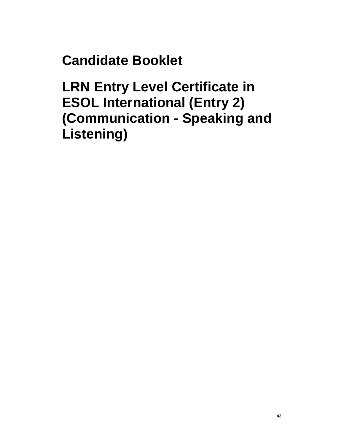**Candidate Booklet**

**LRN Entry Level Certificate in ESOL International (Entry 2) (Communication - Speaking and Listening)**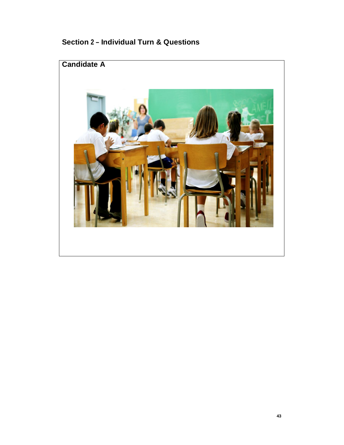#### **Section 2 – Individual Turn & Questions**

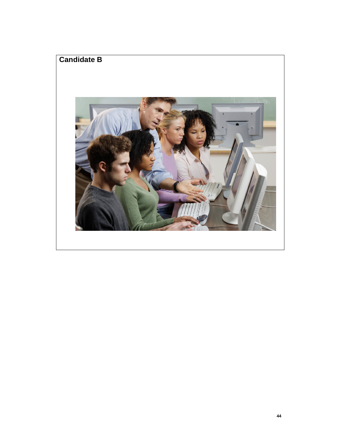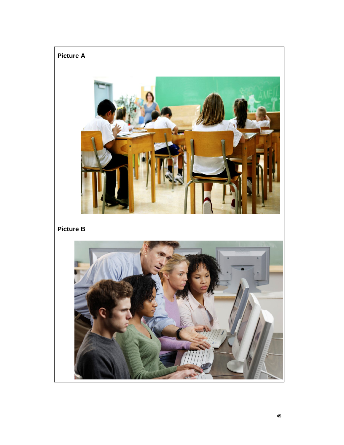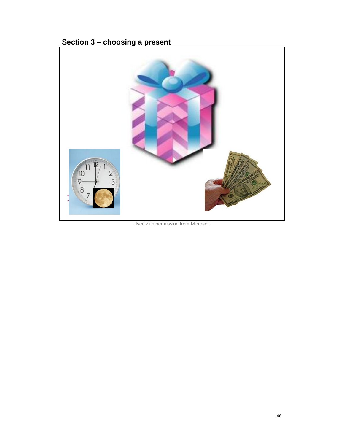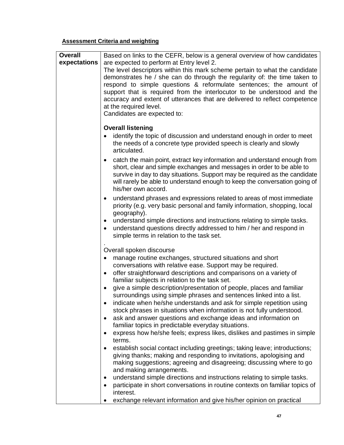#### **Assessment Criteria and weighting**

| <b>Overall</b> | Based on links to the CEFR, below is a general overview of how candidates                                                                             |
|----------------|-------------------------------------------------------------------------------------------------------------------------------------------------------|
| expectations   | are expected to perform at Entry level 2.                                                                                                             |
|                | The level descriptors within this mark scheme pertain to what the candidate                                                                           |
|                | demonstrates he / she can do through the regularity of: the time taken to                                                                             |
|                | respond to simple questions & reformulate sentences; the amount of                                                                                    |
|                | support that is required from the interlocutor to be understood and the<br>accuracy and extent of utterances that are delivered to reflect competence |
|                | at the required level.                                                                                                                                |
|                | Candidates are expected to:                                                                                                                           |
|                |                                                                                                                                                       |
|                | <b>Overall listening</b>                                                                                                                              |
|                | identify the topic of discussion and understand enough in order to meet                                                                               |
|                | the needs of a concrete type provided speech is clearly and slowly                                                                                    |
|                | articulated.                                                                                                                                          |
|                | catch the main point, extract key information and understand enough from                                                                              |
|                | short, clear and simple exchanges and messages in order to be able to<br>survive in day to day situations. Support may be required as the candidate   |
|                | will rarely be able to understand enough to keep the conversation going of                                                                            |
|                | his/her own accord.                                                                                                                                   |
|                | understand phrases and expressions related to areas of most immediate<br>$\bullet$                                                                    |
|                | priority (e.g. very basic personal and family information, shopping, local                                                                            |
|                | geography).                                                                                                                                           |
|                | understand simple directions and instructions relating to simple tasks.<br>$\bullet$                                                                  |
|                | understand questions directly addressed to him / her and respond in                                                                                   |
|                | simple terms in relation to the task set.                                                                                                             |
|                | Overall spoken discourse                                                                                                                              |
|                | manage routine exchanges, structured situations and short                                                                                             |
|                | conversations with relative ease. Support may be required.                                                                                            |
|                | offer straightforward descriptions and comparisons on a variety of<br>$\bullet$                                                                       |
|                | familiar subjects in relation to the task set.                                                                                                        |
|                | give a simple description/presentation of people, places and familiar<br>$\bullet$                                                                    |
|                | surroundings using simple phrases and sentences linked into a list.                                                                                   |
|                | indicate when he/she understands and ask for simple repetition using<br>stock phrases in situations when information is not fully understood.         |
|                | ask and answer questions and exchange ideas and information on<br>$\bullet$                                                                           |
|                | familiar topics in predictable everyday situations.                                                                                                   |
|                | express how he/she feels; express likes, dislikes and pastimes in simple<br>$\bullet$                                                                 |
|                | terms.                                                                                                                                                |
|                | establish social contact including greetings; taking leave; introductions;                                                                            |
|                | giving thanks; making and responding to invitations, apologising and                                                                                  |
|                | making suggestions; agreeing and disagreeing; discussing where to go                                                                                  |
|                | and making arrangements.                                                                                                                              |
|                | understand simple directions and instructions relating to simple tasks.                                                                               |
|                | participate in short conversations in routine contexts on familiar topics of<br>interest.                                                             |
|                | exchange relevant information and give his/her opinion on practical                                                                                   |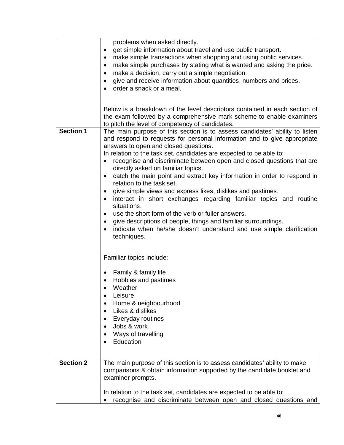|                  | problems when asked directly.<br>get simple information about travel and use public transport.<br>$\bullet$<br>make simple transactions when shopping and using public services.<br>$\bullet$<br>make simple purchases by stating what is wanted and asking the price.<br>$\bullet$<br>make a decision, carry out a simple negotiation.<br>$\bullet$                                                                                                                                                                                                                                                                                                                                                                                                                                                                                                                                                                             |
|------------------|----------------------------------------------------------------------------------------------------------------------------------------------------------------------------------------------------------------------------------------------------------------------------------------------------------------------------------------------------------------------------------------------------------------------------------------------------------------------------------------------------------------------------------------------------------------------------------------------------------------------------------------------------------------------------------------------------------------------------------------------------------------------------------------------------------------------------------------------------------------------------------------------------------------------------------|
|                  | give and receive information about quantities, numbers and prices.<br>$\bullet$<br>order a snack or a meal.                                                                                                                                                                                                                                                                                                                                                                                                                                                                                                                                                                                                                                                                                                                                                                                                                      |
|                  | Below is a breakdown of the level descriptors contained in each section of<br>the exam followed by a comprehensive mark scheme to enable examiners<br>to pitch the level of competency of candidates.                                                                                                                                                                                                                                                                                                                                                                                                                                                                                                                                                                                                                                                                                                                            |
| <b>Section 1</b> | The main purpose of this section is to assess candidates' ability to listen<br>and respond to requests for personal information and to give appropriate<br>answers to open and closed questions.<br>In relation to the task set, candidates are expected to be able to:<br>recognise and discriminate between open and closed questions that are<br>$\bullet$<br>directly asked on familiar topics.<br>catch the main point and extract key information in order to respond in<br>$\bullet$<br>relation to the task set.<br>give simple views and express likes, dislikes and pastimes.<br>$\bullet$<br>interact in short exchanges regarding familiar topics and routine<br>$\bullet$<br>situations.<br>use the short form of the verb or fuller answers.<br>give descriptions of people, things and familiar surroundings.<br>$\bullet$<br>indicate when he/she doesn't understand and use simple clarification<br>techniques. |
|                  | Familiar topics include:<br>Family & family life<br>$\bullet$<br>Hobbies and pastimes<br>Weather<br>Leisure<br>Home & neighbourhood<br>Likes & dislikes<br>Everyday routines<br>Jobs & work<br>$\bullet$<br>Ways of travelling<br>Education                                                                                                                                                                                                                                                                                                                                                                                                                                                                                                                                                                                                                                                                                      |
| <b>Section 2</b> | The main purpose of this section is to assess candidates' ability to make<br>comparisons & obtain information supported by the candidate booklet and<br>examiner prompts.<br>In relation to the task set, candidates are expected to be able to:<br>recognise and discriminate between open and closed questions and                                                                                                                                                                                                                                                                                                                                                                                                                                                                                                                                                                                                             |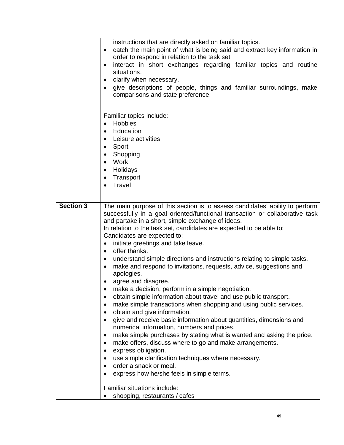|                  | instructions that are directly asked on familiar topics.<br>catch the main point of what is being said and extract key information in<br>order to respond in relation to the task set.<br>interact in short exchanges regarding familiar topics and routine<br>$\bullet$<br>situations.<br>clarify when necessary.<br>$\bullet$<br>give descriptions of people, things and familiar surroundings, make<br>comparisons and state preference.                                                                                                                                                                                                                                                                                                                                                                                                                                                                                                                                                                                                                                                                                                                                                                                                                                                                                                                                                                               |
|------------------|---------------------------------------------------------------------------------------------------------------------------------------------------------------------------------------------------------------------------------------------------------------------------------------------------------------------------------------------------------------------------------------------------------------------------------------------------------------------------------------------------------------------------------------------------------------------------------------------------------------------------------------------------------------------------------------------------------------------------------------------------------------------------------------------------------------------------------------------------------------------------------------------------------------------------------------------------------------------------------------------------------------------------------------------------------------------------------------------------------------------------------------------------------------------------------------------------------------------------------------------------------------------------------------------------------------------------------------------------------------------------------------------------------------------------|
|                  | Familiar topics include:<br>Hobbies<br>$\bullet$<br>Education<br>$\bullet$<br>Leisure activities<br>$\bullet$<br>Sport<br>$\bullet$<br>Shopping<br>Work<br>Holidays<br>$\bullet$<br>Transport<br>$\bullet$<br>Travel                                                                                                                                                                                                                                                                                                                                                                                                                                                                                                                                                                                                                                                                                                                                                                                                                                                                                                                                                                                                                                                                                                                                                                                                      |
| <b>Section 3</b> | The main purpose of this section is to assess candidates' ability to perform<br>successfully in a goal oriented/functional transaction or collaborative task<br>and partake in a short, simple exchange of ideas.<br>In relation to the task set, candidates are expected to be able to:<br>Candidates are expected to:<br>initiate greetings and take leave.<br>$\bullet$<br>offer thanks.<br>$\bullet$<br>understand simple directions and instructions relating to simple tasks.<br>make and respond to invitations, requests, advice, suggestions and<br>apologies.<br>agree and disagree.<br>make a decision, perform in a simple negotiation.<br>obtain simple information about travel and use public transport.<br>٠<br>make simple transactions when shopping and using public services.<br>$\bullet$<br>obtain and give information.<br>$\bullet$<br>give and receive basic information about quantities, dimensions and<br>$\bullet$<br>numerical information, numbers and prices.<br>make simple purchases by stating what is wanted and asking the price.<br>$\bullet$<br>make offers, discuss where to go and make arrangements.<br>$\bullet$<br>express obligation.<br>$\bullet$<br>use simple clarification techniques where necessary.<br>$\bullet$<br>order a snack or meal.<br>$\bullet$<br>express how he/she feels in simple terms.<br>Familiar situations include:<br>shopping, restaurants / cafes |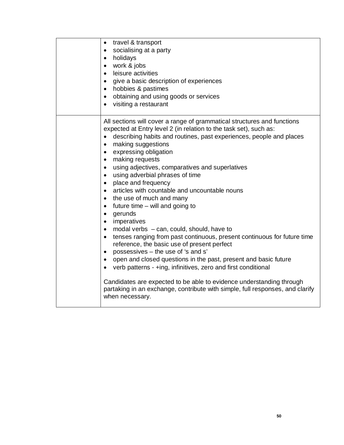| travel & transport<br>$\bullet$<br>socialising at a party<br>$\bullet$<br>holidays<br>$\bullet$<br>work & jobs<br>$\bullet$<br>leisure activities<br>$\bullet$<br>give a basic description of experiences<br>$\bullet$<br>hobbies & pastimes<br>$\bullet$<br>obtaining and using goods or services<br>$\bullet$<br>visiting a restaurant<br>$\bullet$                                                                                                                                                                                                                                                                                                                                                                                                                                                                                                                                                                                                                                                                                                                                                                                                                                                                                                                                         |
|-----------------------------------------------------------------------------------------------------------------------------------------------------------------------------------------------------------------------------------------------------------------------------------------------------------------------------------------------------------------------------------------------------------------------------------------------------------------------------------------------------------------------------------------------------------------------------------------------------------------------------------------------------------------------------------------------------------------------------------------------------------------------------------------------------------------------------------------------------------------------------------------------------------------------------------------------------------------------------------------------------------------------------------------------------------------------------------------------------------------------------------------------------------------------------------------------------------------------------------------------------------------------------------------------|
| All sections will cover a range of grammatical structures and functions<br>expected at Entry level 2 (in relation to the task set), such as:<br>describing habits and routines, past experiences, people and places<br>$\bullet$<br>making suggestions<br>$\bullet$<br>expressing obligation<br>$\bullet$<br>making requests<br>$\bullet$<br>using adjectives, comparatives and superlatives<br>$\bullet$<br>using adverbial phrases of time<br>$\bullet$<br>place and frequency<br>$\bullet$<br>articles with countable and uncountable nouns<br>$\bullet$<br>the use of much and many<br>$\bullet$<br>future time $-$ will and going to<br>$\bullet$<br>gerunds<br>$\bullet$<br>imperatives<br>$\bullet$<br>modal verbs $-$ can, could, should, have to<br>$\bullet$<br>tenses ranging from past continuous, present continuous for future time<br>$\bullet$<br>reference, the basic use of present perfect<br>possessives – the use of 's and s'<br>$\bullet$<br>open and closed questions in the past, present and basic future<br>$\bullet$<br>verb patterns - +ing, infinitives, zero and first conditional<br>Candidates are expected to be able to evidence understanding through<br>partaking in an exchange, contribute with simple, full responses, and clarify<br>when necessary. |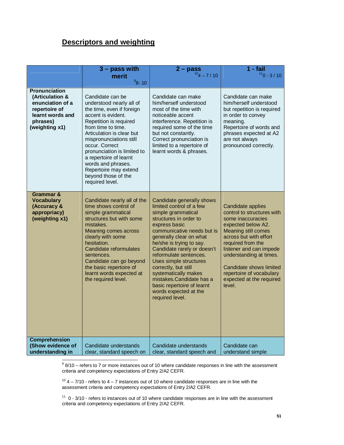#### **Descriptors and weighting**

|                                                                                                                                | $3 - p$ ass with                                                                                                                                                                                                                                                                                                                                                            | $2 - pass$<br>$104 - 7/10$                                                                                                                                                                                                                                                                                                                                                                                                                           | 1 - fail<br>$110 - 3 / 10$                                                                                                                                                                                                                                                                                          |
|--------------------------------------------------------------------------------------------------------------------------------|-----------------------------------------------------------------------------------------------------------------------------------------------------------------------------------------------------------------------------------------------------------------------------------------------------------------------------------------------------------------------------|------------------------------------------------------------------------------------------------------------------------------------------------------------------------------------------------------------------------------------------------------------------------------------------------------------------------------------------------------------------------------------------------------------------------------------------------------|---------------------------------------------------------------------------------------------------------------------------------------------------------------------------------------------------------------------------------------------------------------------------------------------------------------------|
|                                                                                                                                | merit<br>$98 - 10$                                                                                                                                                                                                                                                                                                                                                          |                                                                                                                                                                                                                                                                                                                                                                                                                                                      |                                                                                                                                                                                                                                                                                                                     |
| <b>Pronunciation</b><br>(Articulation &<br>enunciation of a<br>repertoire of<br>learnt words and<br>phrases)<br>(weighting x1) | Candidate can be<br>understood nearly all of<br>the time, even if foreign<br>accent is evident.<br>Repetition is required<br>from time to time.<br>Articulation is clear but<br>mispronunciations still<br>occur. Correct<br>pronunciation is limited to<br>a repertoire of learnt<br>words and phrases.<br>Repertoire may extend<br>beyond those of the<br>required level. | Candidate can make<br>him/herself understood<br>most of the time with<br>noticeable accent<br>interference. Repetition is<br>required some of the time<br>but not constantly.<br>Correct pronunciation is<br>limited to a repertoire of<br>learnt words & phrases.                                                                                                                                                                                   | Candidate can make<br>him/herself understood<br>but repetition is required<br>in order to convey<br>meaning.<br>Repertoire of words and<br>phrases expected at A2<br>are not always<br>pronounced correctly.                                                                                                        |
| <b>Grammar &amp;</b><br><b>Vocabulary</b><br>(Accuracy &<br>appropriacy)<br>(weighting x1)                                     | Candidate nearly all of the<br>time shows control of<br>simple grammatical<br>structures but with some<br>mistakes.<br>Meaning comes across<br>clearly with some<br>hesitation.<br>Candidate reformulates<br>sentences.<br>Candidate can go beyond<br>the basic repertoire of<br>learnt words expected at<br>the required level.                                            | Candidate generally shows<br>limited control of a few<br>simple grammatical<br>structures in order to<br>express basic<br>communicative needs but is<br>generally clear on what<br>he/she is trying to say.<br>Candidate rarely or doesn't<br>reformulate sentences.<br>Uses simple structures<br>correctly, but still<br>systematically makes<br>mistakes.Candidate has a<br>basic repertoire of learnt<br>words expected at the<br>required level. | Candidate applies<br>control to structures with<br>some inaccuracies<br>expected below A2.<br>Meaning still comes<br>across but with effort<br>required from the<br>listener and can impede<br>understanding at times.<br>Candidate shows limited<br>repertoire of vocabulary<br>expected at the required<br>level. |
| <b>Comprehension</b><br>(Show evidence of<br>understanding in                                                                  | Candidate understands<br>clear, standard speech on                                                                                                                                                                                                                                                                                                                          | Candidate understands<br>clear, standard speech and                                                                                                                                                                                                                                                                                                                                                                                                  | Candidate can<br>understand simple                                                                                                                                                                                                                                                                                  |

9<br>9/10 – refers to 7 or more instances out of 10 where candidate responses in line with the assessment criteria and competency expectations of Entry 2/A2 CEFR.

 $10$  4 – 7/10 - refers to 4 – 7 instances out of 10 where candidate responses are in line with the assessment criteria and competency expectations of Entry 2/A2 CEFR.

 $11$  0 - 3/10 - refers to instances out of 10 where candidate responses are in line with the assessment criteria and competency expectations of Entry 2/A2 CEFR.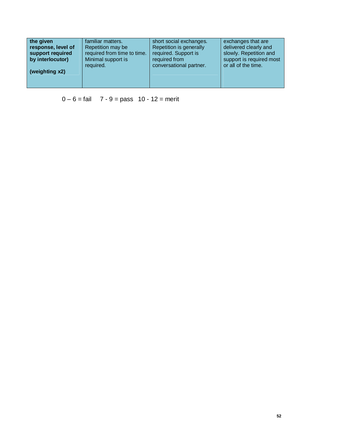| the given          | familiar matters.           | short social exchanges. | exchanges that are       |
|--------------------|-----------------------------|-------------------------|--------------------------|
| response, level of | Repetition may be           | Repetition is generally | delivered clearly and    |
| support required   | required from time to time. | required. Support is    | slowly. Repetition and   |
| by interlocutor)   | Minimal support is          | required from           | support is required most |
|                    | required.                   | conversational partner. | or all of the time.      |
| (weighting x2)     |                             |                         |                          |

 $0 - 6 = \text{fail}$  7 - 9 = pass 10 - 12 = merit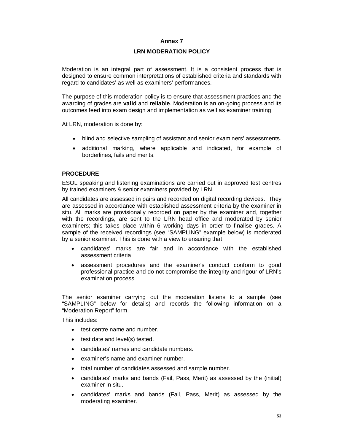#### **Annex 7**

#### **LRN MODERATION POLICY**

Moderation is an integral part of assessment. It is a consistent process that is designed to ensure common interpretations of established criteria and standards with regard to candidates' as well as examiners' performances.

The purpose of this moderation policy is to ensure that assessment practices and the awarding of grades are **valid** and **reliable**. Moderation is an on-going process and its outcomes feed into exam design and implementation as well as examiner training.

At LRN, moderation is done by:

- blind and selective sampling of assistant and senior examiners' assessments.
- additional marking, where applicable and indicated, for example of borderlines, fails and merits.

#### **PROCEDURE**

ESOL speaking and listening examinations are carried out in approved test centres by trained examiners & senior examiners provided by LRN.

All candidates are assessed in pairs and recorded on digital recording devices. They are assessed in accordance with established assessment criteria by the examiner in situ. All marks are provisionally recorded on paper by the examiner and, together with the recordings, are sent to the LRN head office and moderated by senior examiners; this takes place within 6 working days in order to finalise grades. A sample of the received recordings (see "SAMPLING" example below) is moderated by a senior examiner. This is done with a view to ensuring that

- candidates' marks are fair and in accordance with the established assessment criteria
- assessment procedures and the examiner's conduct conform to good professional practice and do not compromise the integrity and rigour of LRN's examination process

The senior examiner carrying out the moderation listens to a sample (see "SAMPLING" below for details) and records the following information on a "Moderation Report" form.

This includes:

- test centre name and number.
- test date and level(s) tested.
- candidates' names and candidate numbers.
- examiner's name and examiner number.
- total number of candidates assessed and sample number.
- candidates' marks and bands (Fail, Pass, Merit) as assessed by the (initial) examiner in situ.
- candidates' marks and bands (Fail, Pass, Merit) as assessed by the moderating examiner.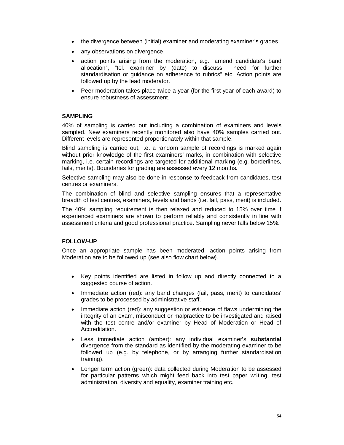- the divergence between (initial) examiner and moderating examiner's grades
- any observations on divergence.
- action points arising from the moderation, e.g. "amend candidate's band allocation", "tel. examiner by (date) to discuss need for further standardisation or guidance on adherence to rubrics" etc. Action points are followed up by the lead moderator.
- Peer moderation takes place twice a year (for the first year of each award) to ensure robustness of assessment.

#### **SAMPLING**

40% of sampling is carried out including a combination of examiners and levels sampled. New examiners recently monitored also have 40% samples carried out. Different levels are represented proportionately within that sample.

Blind sampling is carried out, i.e. a random sample of recordings is marked again without prior knowledge of the first examiners' marks, in combination with selective marking, i.e. certain recordings are targeted for additional marking (e.g. borderlines, fails, merits). Boundaries for grading are assessed every 12 months.

Selective sampling may also be done in response to feedback from candidates, test centres or examiners.

The combination of blind and selective sampling ensures that a representative breadth of test centres, examiners, levels and bands (i.e. fail, pass, merit) is included.

The 40% sampling requirement is then relaxed and reduced to 15% over time if experienced examiners are shown to perform reliably and consistently in line with assessment criteria and good professional practice. Sampling never falls below 15%.

#### **FOLLOW-UP**

Once an appropriate sample has been moderated, action points arising from Moderation are to be followed up (see also flow chart below).

- Key points identified are listed in follow up and directly connected to a suggested course of action.
- Immediate action (red): any band changes (fail, pass, merit) to candidates' grades to be processed by administrative staff.
- Immediate action (red): any suggestion or evidence of flaws undermining the integrity of an exam, misconduct or malpractice to be investigated and raised with the test centre and/or examiner by Head of Moderation or Head of Accreditation.
- Less immediate action (amber): any individual examiner's **substantial**  divergence from the standard as identified by the moderating examiner to be followed up (e.g. by telephone, or by arranging further standardisation training).
- Longer term action (green): data collected during Moderation to be assessed for particular patterns which might feed back into test paper writing, test administration, diversity and equality, examiner training etc.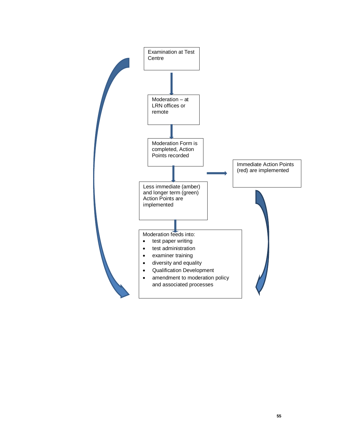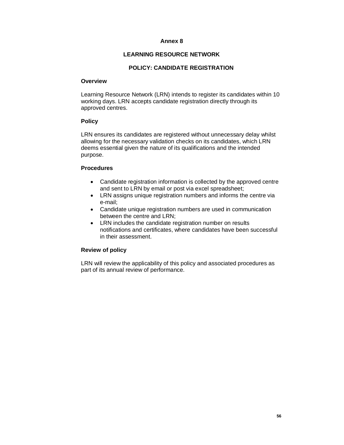#### **Annex 8**

#### **LEARNING RESOURCE NETWORK**

#### **POLICY: CANDIDATE REGISTRATION**

#### **Overview**

Learning Resource Network (LRN) intends to register its candidates within 10 working days. LRN accepts candidate registration directly through its approved centres.

#### **Policy**

LRN ensures its candidates are registered without unnecessary delay whilst allowing for the necessary validation checks on its candidates, which LRN deems essential given the nature of its qualifications and the intended purpose.

#### **Procedures**

- Candidate registration information is collected by the approved centre and sent to LRN by email or post via excel spreadsheet;
- LRN assigns unique registration numbers and informs the centre via e-mail;
- Candidate unique registration numbers are used in communication between the centre and LRN;
- LRN includes the candidate registration number on results notifications and certificates, where candidates have been successful in their assessment.

#### **Review of policy**

LRN will review the applicability of this policy and associated procedures as part of its annual review of performance.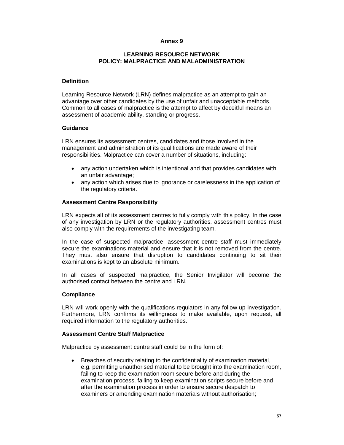#### **Annex 9**

#### **LEARNING RESOURCE NETWORK POLICY: MALPRACTICE AND MALADMINISTRATION**

#### **Definition**

Learning Resource Network (LRN) defines malpractice as an attempt to gain an advantage over other candidates by the use of unfair and unacceptable methods. Common to all cases of malpractice is the attempt to affect by deceitful means an assessment of academic ability, standing or progress.

#### **Guidance**

LRN ensures its assessment centres, candidates and those involved in the management and administration of its qualifications are made aware of their responsibilities. Malpractice can cover a number of situations, including:

- any action undertaken which is intentional and that provides candidates with an unfair advantage;
- any action which arises due to ignorance or carelessness in the application of the regulatory criteria.

#### **Assessment Centre Responsibility**

LRN expects all of its assessment centres to fully comply with this policy. In the case of any investigation by LRN or the regulatory authorities, assessment centres must also comply with the requirements of the investigating team.

In the case of suspected malpractice, assessment centre staff must immediately secure the examinations material and ensure that it is not removed from the centre. They must also ensure that disruption to candidates continuing to sit their examinations is kept to an absolute minimum.

In all cases of suspected malpractice, the Senior Invigilator will become the authorised contact between the centre and LRN.

#### **Compliance**

LRN will work openly with the qualifications regulators in any follow up investigation. Furthermore, LRN confirms its willingness to make available, upon request, all required information to the regulatory authorities.

#### **Assessment Centre Staff Malpractice**

Malpractice by assessment centre staff could be in the form of:

 Breaches of security relating to the confidentiality of examination material, e.g. permitting unauthorised material to be brought into the examination room, failing to keep the examination room secure before and during the examination process, failing to keep examination scripts secure before and after the examination process in order to ensure secure despatch to examiners or amending examination materials without authorisation;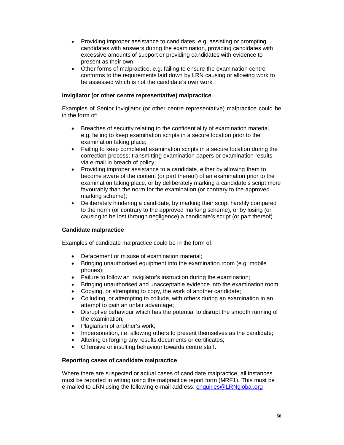- Providing improper assistance to candidates, e.g. assisting or prompting candidates with answers during the examination, providing candidates with excessive amounts of support or providing candidates with evidence to present as their own;
- Other forms of malpractice, e.g. failing to ensure the examination centre conforms to the requirements laid down by LRN causing or allowing work to be assessed which is not the candidate's own work.

#### **Invigilator (or other centre representative) malpractice**

Examples of Senior Invigilator (or other centre representative) malpractice could be in the form of:

- Breaches of security relating to the confidentiality of examination material, e.g. failing to keep examination scripts in a secure location prior to the examination taking place;
- Failing to keep completed examination scripts in a secure location during the correction process; transmitting examination papers or examination results via e-mail in breach of policy;
- Providing improper assistance to a candidate, either by allowing them to become aware of the content (or part thereof) of an examination prior to the examination taking place, or by deliberately marking a candidate's script more favourably than the norm for the examination (or contrary to the approved marking scheme);
- Deliberately hindering a candidate, by marking their script harshly compared to the norm (or contrary to the approved marking scheme), or by losing (or causing to be lost through negligence) a candidate's script (or part thereof).

#### **Candidate malpractice**

Examples of candidate malpractice could be in the form of:

- Defacement or misuse of examination material;
- Bringing unauthorised equipment into the examination room (e.g. mobile phones);
- Failure to follow an invigilator's instruction during the examination;
- Bringing unauthorised and unacceptable evidence into the examination room;
- Copying, or attempting to copy, the work of another candidate;
- Colluding, or attempting to collude, with others during an examination in an attempt to gain an unfair advantage;
- Disruptive behaviour which has the potential to disrupt the smooth running of the examination;
- Plagiarism of another's work;
- Impersonation, i.e. allowing others to present themselves as the candidate;
- Altering or forging any results documents or certificates;
- Offensive or insulting behaviour towards centre staff.

#### **Reporting cases of candidate malpractice**

Where there are suspected or actual cases of candidate malpractice, all instances must be reported in writing using the malpractice report form (MRF1). This must be e-mailed to LRN using the following e-mail address: enquiries@LRNglobal.org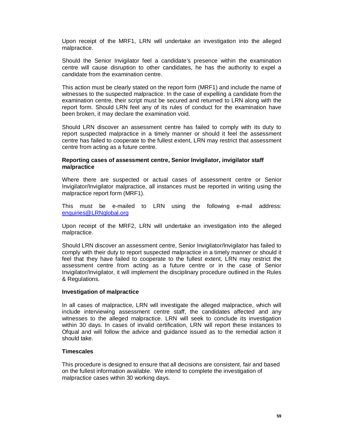Upon receipt of the MRF1, LRN will undertake an investigation into the alleged malpractice.

Should the Senior Invigilator feel a candidate's presence within the examination centre will cause disruption to other candidates, he has the authority to expel a candidate from the examination centre.

This action must be clearly stated on the report form (MRF1) and include the name of witnesses to the suspected malpractice. In the case of expelling a candidate from the examination centre, their script must be secured and returned to LRN along with the report form. Should LRN feel any of its rules of conduct for the examination have been broken, it may declare the examination void.

Should LRN discover an assessment centre has failed to comply with its duty to report suspected malpractice in a timely manner or should it feel the assessment centre has failed to cooperate to the fullest extent, LRN may restrict that assessment centre from acting as a future centre.

#### **Reporting cases of assessment centre, Senior Invigilator, invigilator staff malpractice**

Where there are suspected or actual cases of assessment centre or Senior Invigilator/Invigilator malpractice, all instances must be reported in writing using the malpractice report form (MRF1).

This must be e-mailed to LRN using the following e-mail address: enquiries@LRNglobal.org

Upon receipt of the MRF2, LRN will undertake an investigation into the alleged malpractice.

Should LRN discover an assessment centre, Senior Invigilator/Invigilator has failed to comply with their duty to report suspected malpractice in a timely manner or should it feel that they have failed to cooperate to the fullest extent, LRN may restrict the assessment centre from acting as a future centre or in the case of Senior Invigilator/Invigilator, it will implement the disciplinary procedure outlined in the Rules & Regulations.

#### **Investigation of malpractice**

In all cases of malpractice, LRN will investigate the alleged malpractice, which will include interviewing assessment centre staff, the candidates affected and any witnesses to the alleged malpractice. LRN will seek to conclude its investigation within 30 days. In cases of invalid certification, LRN will report these instances to Ofqual and will follow the advice and guidance issued as to the remedial action it should take.

#### **Timescales**

This procedure is designed to ensure that all decisions are consistent, fair and based on the fullest information available. We intend to complete the investigation of malpractice cases within 30 working days.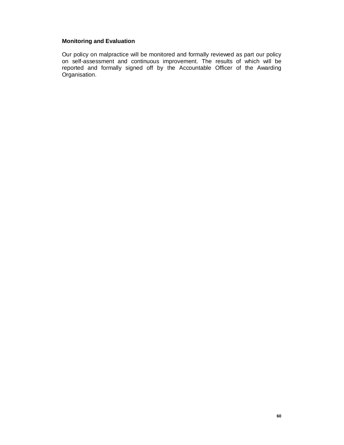#### **Monitoring and Evaluation**

Our policy on malpractice will be monitored and formally reviewed as part our policy on self-assessment and continuous improvement. The results of which will be reported and formally signed off by the Accountable Officer of the Awarding Organisation.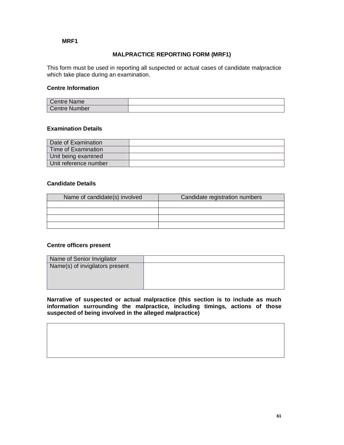#### **MRF1**

#### **MALPRACTICE REPORTING FORM (MRF1)**

This form must be used in reporting all suspected or actual cases of candidate malpractice which take place during an examination.

#### **Centre Information**

| Centre Name   |  |
|---------------|--|
| Centre Number |  |

#### **Examination Details**

| Date of Examination   |  |
|-----------------------|--|
| Time of Examination   |  |
| Unit being examined   |  |
| Unit reference number |  |

#### **Candidate Details**

| Name of candidate(s) involved | Candidate registration numbers |
|-------------------------------|--------------------------------|
|                               |                                |
|                               |                                |
|                               |                                |
|                               |                                |

#### **Centre officers present**

| Name of Senior Invigilator      |  |
|---------------------------------|--|
| Name(s) of invigilators present |  |
|                                 |  |
|                                 |  |
|                                 |  |

**Narrative of suspected or actual malpractice (this section is to include as much information surrounding the malpractice, including timings, actions of those suspected of being involved in the alleged malpractice)**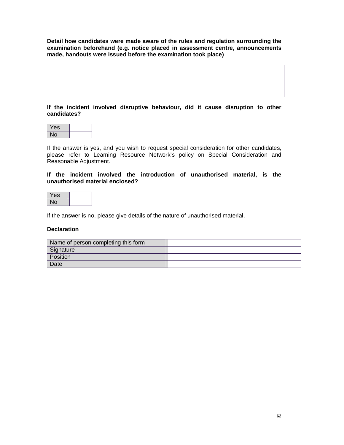**Detail how candidates were made aware of the rules and regulation surrounding the examination beforehand (e.g. notice placed in assessment centre, announcements made, handouts were issued before the examination took place)**

**If the incident involved disruptive behaviour, did it cause disruption to other candidates?**

If the answer is yes, and you wish to request special consideration for other candidates, please refer to Learning Resource Network's policy on Special Consideration and Reasonable Adjustment.

#### **If the incident involved the introduction of unauthorised material, is the unauthorised material enclosed?**

| -<br>es |  |
|---------|--|
|         |  |

If the answer is no, please give details of the nature of unauthorised material.

#### **Declaration**

| Name of person completing this form |  |
|-------------------------------------|--|
| Signature                           |  |
| Position                            |  |
| Date                                |  |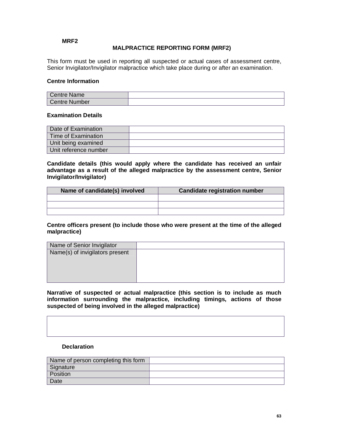#### **MRF2**

#### **MALPRACTICE REPORTING FORM (MRF2)**

This form must be used in reporting all suspected or actual cases of assessment centre, Senior Invigilator/Invigilator malpractice which take place during or after an examination.

#### **Centre Information**

| Centre Name   |  |
|---------------|--|
| Centre Number |  |

#### **Examination Details**

| Date of Examination   |  |
|-----------------------|--|
| Time of Examination   |  |
| Unit being examined   |  |
| Unit reference number |  |

**Candidate details (this would apply where the candidate has received an unfair advantage as a result of the alleged malpractice by the assessment centre, Senior Invigilator/Invigilator)**

| Name of candidate(s) involved | <b>Candidate registration number</b> |
|-------------------------------|--------------------------------------|
|                               |                                      |
|                               |                                      |
|                               |                                      |

#### **Centre officers present (to include those who were present at the time of the alleged malpractice)**

| Name of Senior Invigilator      |  |
|---------------------------------|--|
| Name(s) of invigilators present |  |
|                                 |  |
|                                 |  |
|                                 |  |
|                                 |  |

**Narrative of suspected or actual malpractice (this section is to include as much information surrounding the malpractice, including timings, actions of those suspected of being involved in the alleged malpractice)**

# **Declaration**

#### Name of person completing this form **Signature Position Date**